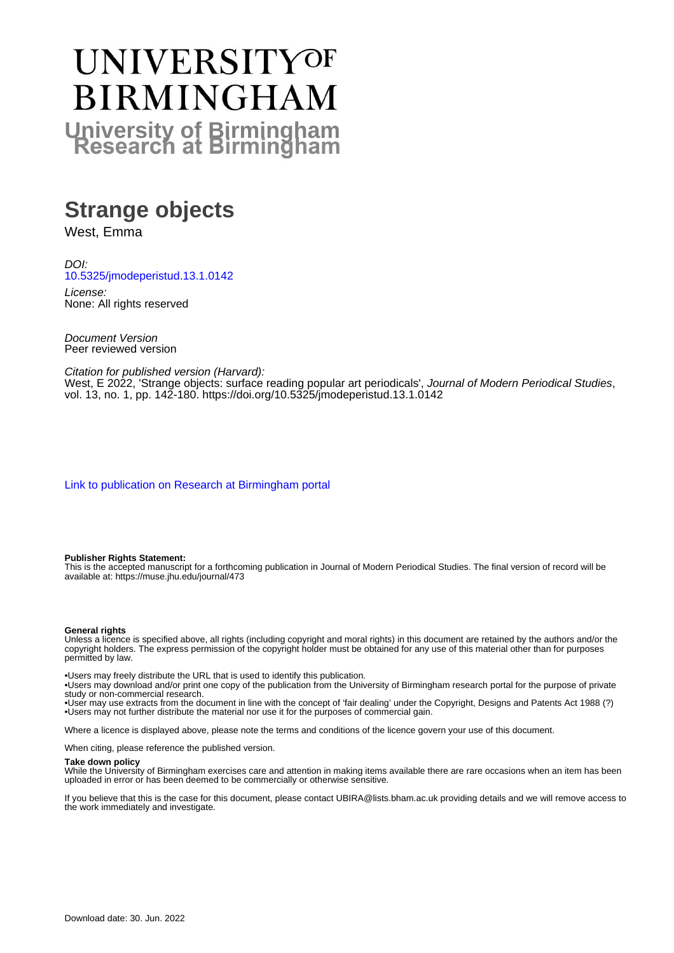# UNIVERSITYOF **BIRMINGHAM University of Birmingham**

# **Strange objects**

West, Emma

DOI: [10.5325/jmodeperistud.13.1.0142](https://doi.org/10.5325/jmodeperistud.13.1.0142)

License: None: All rights reserved

Document Version Peer reviewed version

Citation for published version (Harvard):

West, E 2022, 'Strange objects: surface reading popular art periodicals', Journal of Modern Periodical Studies, vol. 13, no. 1, pp. 142-180. <https://doi.org/10.5325/jmodeperistud.13.1.0142>

[Link to publication on Research at Birmingham portal](https://birmingham.elsevierpure.com/en/publications/b38d85bf-91d5-4f80-bebf-4b3999c03901)

#### **Publisher Rights Statement:**

This is the accepted manuscript for a forthcoming publication in Journal of Modern Periodical Studies. The final version of record will be available at: https://muse.jhu.edu/journal/473

#### **General rights**

Unless a licence is specified above, all rights (including copyright and moral rights) in this document are retained by the authors and/or the copyright holders. The express permission of the copyright holder must be obtained for any use of this material other than for purposes permitted by law.

• Users may freely distribute the URL that is used to identify this publication.

• Users may download and/or print one copy of the publication from the University of Birmingham research portal for the purpose of private study or non-commercial research.

• User may use extracts from the document in line with the concept of 'fair dealing' under the Copyright, Designs and Patents Act 1988 (?) • Users may not further distribute the material nor use it for the purposes of commercial gain.

Where a licence is displayed above, please note the terms and conditions of the licence govern your use of this document.

When citing, please reference the published version.

#### **Take down policy**

While the University of Birmingham exercises care and attention in making items available there are rare occasions when an item has been uploaded in error or has been deemed to be commercially or otherwise sensitive.

If you believe that this is the case for this document, please contact UBIRA@lists.bham.ac.uk providing details and we will remove access to the work immediately and investigate.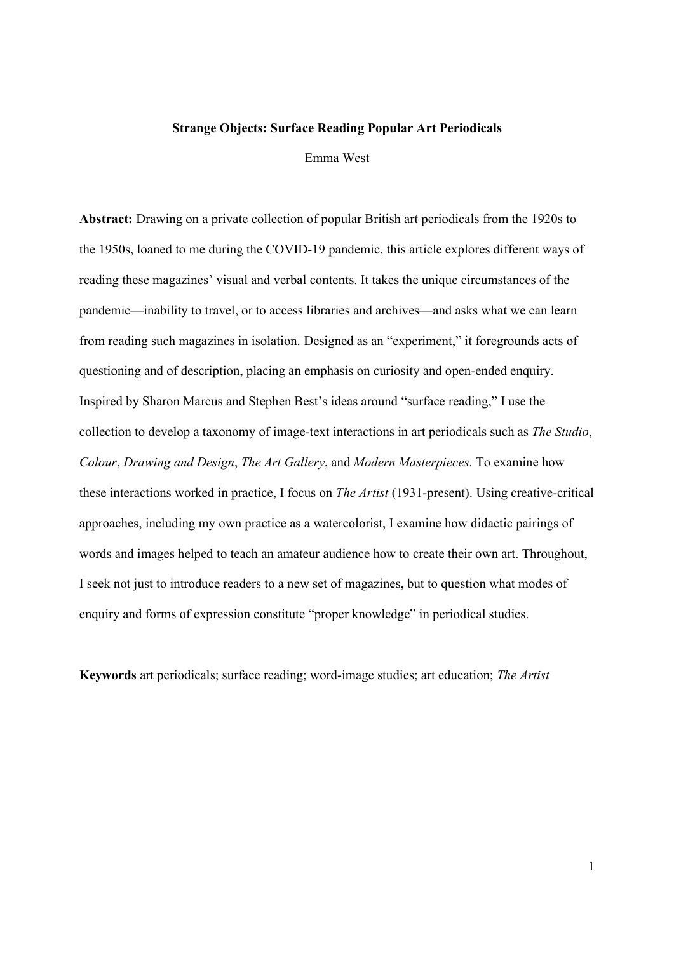#### Strange Objects: Surface Reading Popular Art Periodicals

Emma West

Abstract: Drawing on a private collection of popular British art periodicals from the 1920s to the 1950s, loaned to me during the COVID-19 pandemic, this article explores different ways of reading these magazines' visual and verbal contents. It takes the unique circumstances of the pandemic—inability to travel, or to access libraries and archives—and asks what we can learn from reading such magazines in isolation. Designed as an "experiment," it foregrounds acts of questioning and of description, placing an emphasis on curiosity and open-ended enquiry. Inspired by Sharon Marcus and Stephen Best's ideas around "surface reading," I use the collection to develop a taxonomy of image-text interactions in art periodicals such as The Studio, Colour, Drawing and Design, The Art Gallery, and Modern Masterpieces. To examine how these interactions worked in practice, I focus on The Artist (1931-present). Using creative-critical approaches, including my own practice as a watercolorist, I examine how didactic pairings of words and images helped to teach an amateur audience how to create their own art. Throughout, I seek not just to introduce readers to a new set of magazines, but to question what modes of enquiry and forms of expression constitute "proper knowledge" in periodical studies.

Keywords art periodicals; surface reading; word-image studies; art education; The Artist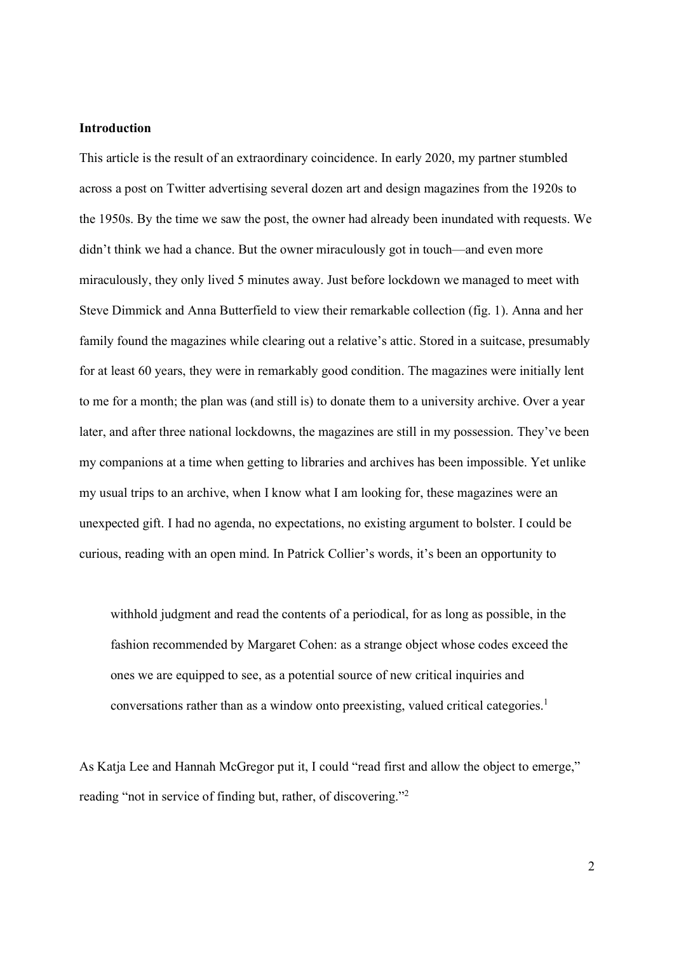## Introduction

This article is the result of an extraordinary coincidence. In early 2020, my partner stumbled across a post on Twitter advertising several dozen art and design magazines from the 1920s to the 1950s. By the time we saw the post, the owner had already been inundated with requests. We didn't think we had a chance. But the owner miraculously got in touch—and even more miraculously, they only lived 5 minutes away. Just before lockdown we managed to meet with Steve Dimmick and Anna Butterfield to view their remarkable collection (fig. 1). Anna and her family found the magazines while clearing out a relative's attic. Stored in a suitcase, presumably for at least 60 years, they were in remarkably good condition. The magazines were initially lent to me for a month; the plan was (and still is) to donate them to a university archive. Over a year later, and after three national lockdowns, the magazines are still in my possession. They've been my companions at a time when getting to libraries and archives has been impossible. Yet unlike my usual trips to an archive, when I know what I am looking for, these magazines were an unexpected gift. I had no agenda, no expectations, no existing argument to bolster. I could be curious, reading with an open mind. In Patrick Collier's words, it's been an opportunity to

withhold judgment and read the contents of a periodical, for as long as possible, in the fashion recommended by Margaret Cohen: as a strange object whose codes exceed the ones we are equipped to see, as a potential source of new critical inquiries and conversations rather than as a window onto preexisting, valued critical categories.<sup>1</sup>

As Katja Lee and Hannah McGregor put it, I could "read first and allow the object to emerge," reading "not in service of finding but, rather, of discovering."<sup>2</sup>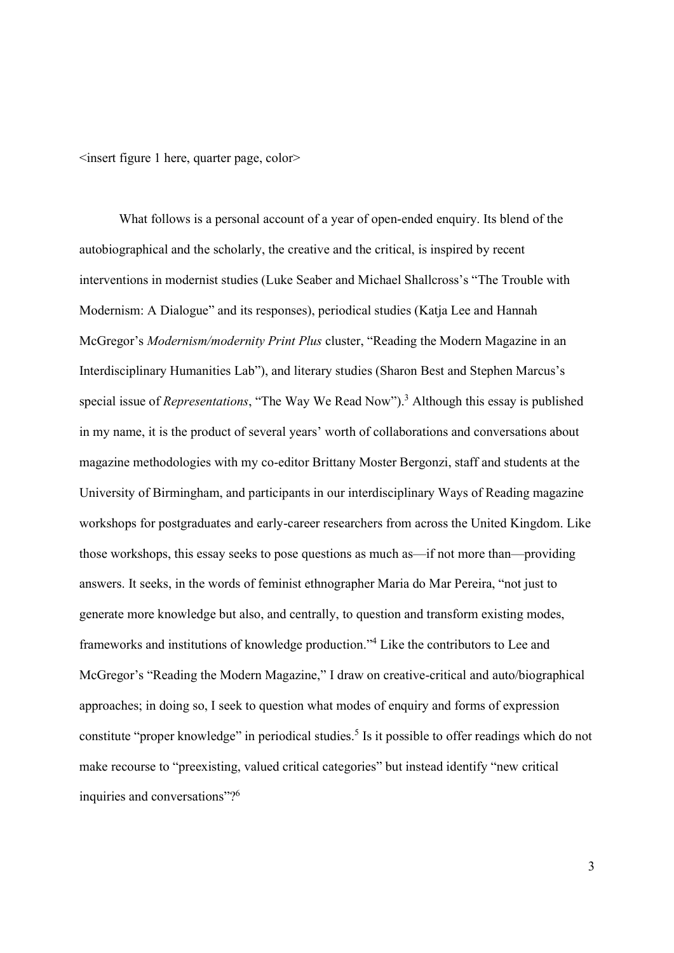<insert figure 1 here, quarter page, color>

What follows is a personal account of a year of open-ended enquiry. Its blend of the autobiographical and the scholarly, the creative and the critical, is inspired by recent interventions in modernist studies (Luke Seaber and Michael Shallcross's "The Trouble with Modernism: A Dialogue" and its responses), periodical studies (Katja Lee and Hannah McGregor's Modernism/modernity Print Plus cluster, "Reading the Modern Magazine in an Interdisciplinary Humanities Lab"), and literary studies (Sharon Best and Stephen Marcus's special issue of *Representations*, "The Way We Read Now").<sup>3</sup> Although this essay is published in my name, it is the product of several years' worth of collaborations and conversations about magazine methodologies with my co-editor Brittany Moster Bergonzi, staff and students at the University of Birmingham, and participants in our interdisciplinary Ways of Reading magazine workshops for postgraduates and early-career researchers from across the United Kingdom. Like those workshops, this essay seeks to pose questions as much as—if not more than—providing answers. It seeks, in the words of feminist ethnographer Maria do Mar Pereira, "not just to generate more knowledge but also, and centrally, to question and transform existing modes, frameworks and institutions of knowledge production."<sup>4</sup> Like the contributors to Lee and McGregor's "Reading the Modern Magazine," I draw on creative-critical and auto/biographical approaches; in doing so, I seek to question what modes of enquiry and forms of expression constitute "proper knowledge" in periodical studies.<sup>5</sup> Is it possible to offer readings which do not make recourse to "preexisting, valued critical categories" but instead identify "new critical inquiries and conversations"?<sup>6</sup>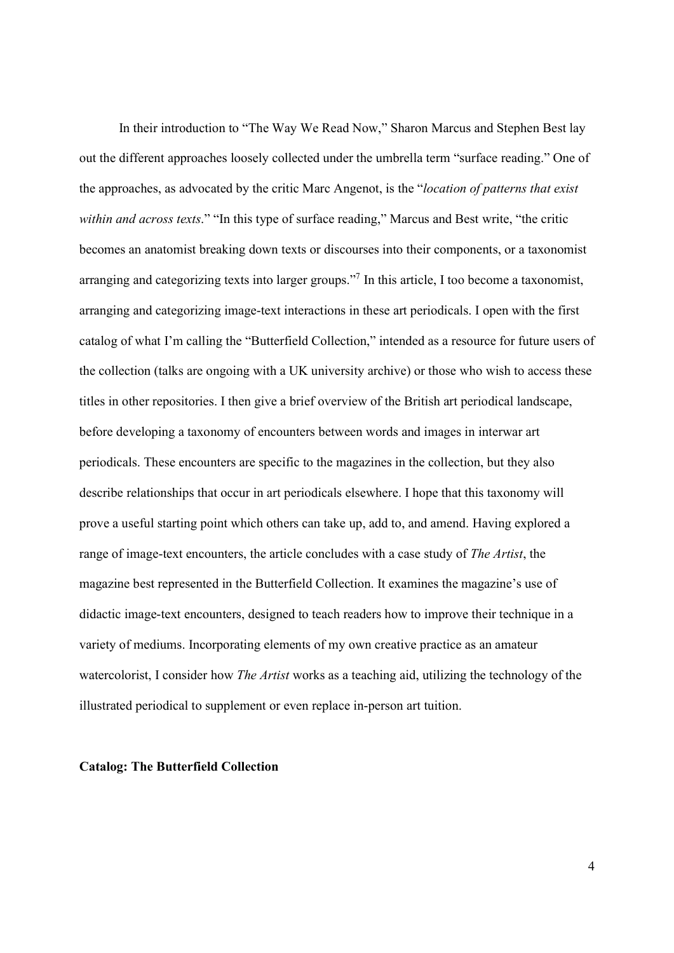In their introduction to "The Way We Read Now," Sharon Marcus and Stephen Best lay out the different approaches loosely collected under the umbrella term "surface reading." One of the approaches, as advocated by the critic Marc Angenot, is the "location of patterns that exist within and across texts." "In this type of surface reading," Marcus and Best write, "the critic becomes an anatomist breaking down texts or discourses into their components, or a taxonomist arranging and categorizing texts into larger groups."<sup>7</sup> In this article, I too become a taxonomist, arranging and categorizing image-text interactions in these art periodicals. I open with the first catalog of what I'm calling the "Butterfield Collection," intended as a resource for future users of the collection (talks are ongoing with a UK university archive) or those who wish to access these titles in other repositories. I then give a brief overview of the British art periodical landscape, before developing a taxonomy of encounters between words and images in interwar art periodicals. These encounters are specific to the magazines in the collection, but they also describe relationships that occur in art periodicals elsewhere. I hope that this taxonomy will prove a useful starting point which others can take up, add to, and amend. Having explored a range of image-text encounters, the article concludes with a case study of The Artist, the magazine best represented in the Butterfield Collection. It examines the magazine's use of didactic image-text encounters, designed to teach readers how to improve their technique in a variety of mediums. Incorporating elements of my own creative practice as an amateur watercolorist, I consider how *The Artist* works as a teaching aid, utilizing the technology of the illustrated periodical to supplement or even replace in-person art tuition.

#### Catalog: The Butterfield Collection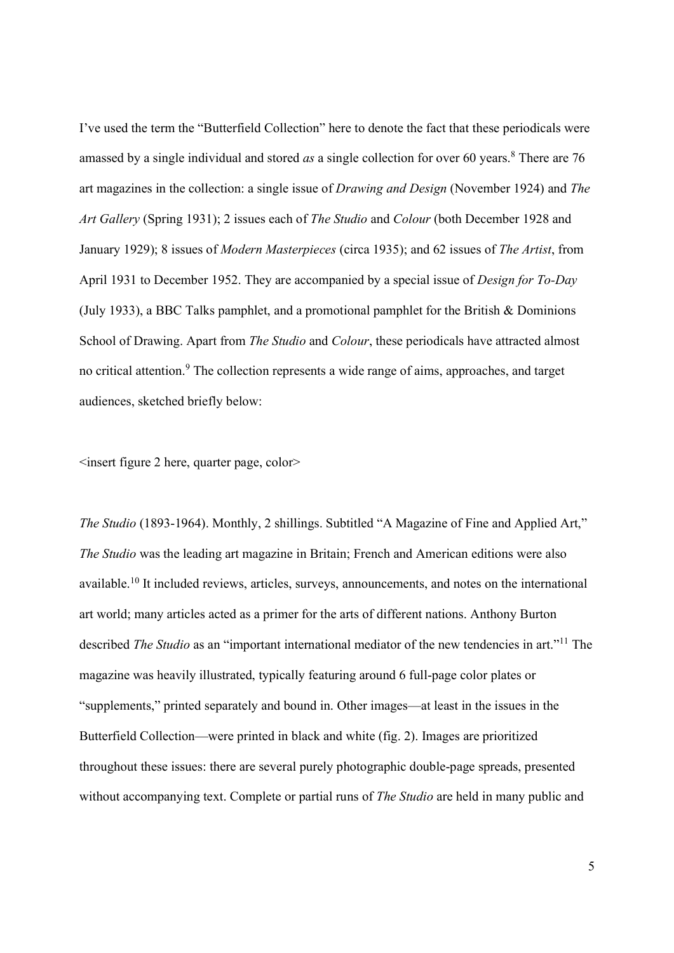I've used the term the "Butterfield Collection" here to denote the fact that these periodicals were amassed by a single individual and stored as a single collection for over 60 years.<sup>8</sup> There are 76 art magazines in the collection: a single issue of Drawing and Design (November 1924) and The Art Gallery (Spring 1931); 2 issues each of The Studio and Colour (both December 1928 and January 1929); 8 issues of Modern Masterpieces (circa 1935); and 62 issues of The Artist, from April 1931 to December 1952. They are accompanied by a special issue of Design for To-Day (July 1933), a BBC Talks pamphlet, and a promotional pamphlet for the British & Dominions School of Drawing. Apart from *The Studio* and *Colour*, these periodicals have attracted almost no critical attention.<sup>9</sup> The collection represents a wide range of aims, approaches, and target audiences, sketched briefly below:

<insert figure 2 here, quarter page, color>

The Studio (1893-1964). Monthly, 2 shillings. Subtitled "A Magazine of Fine and Applied Art," The Studio was the leading art magazine in Britain; French and American editions were also available.<sup>10</sup> It included reviews, articles, surveys, announcements, and notes on the international art world; many articles acted as a primer for the arts of different nations. Anthony Burton described *The Studio* as an "important international mediator of the new tendencies in art."<sup>11</sup> The magazine was heavily illustrated, typically featuring around 6 full-page color plates or "supplements," printed separately and bound in. Other images—at least in the issues in the Butterfield Collection—were printed in black and white (fig. 2). Images are prioritized throughout these issues: there are several purely photographic double-page spreads, presented without accompanying text. Complete or partial runs of *The Studio* are held in many public and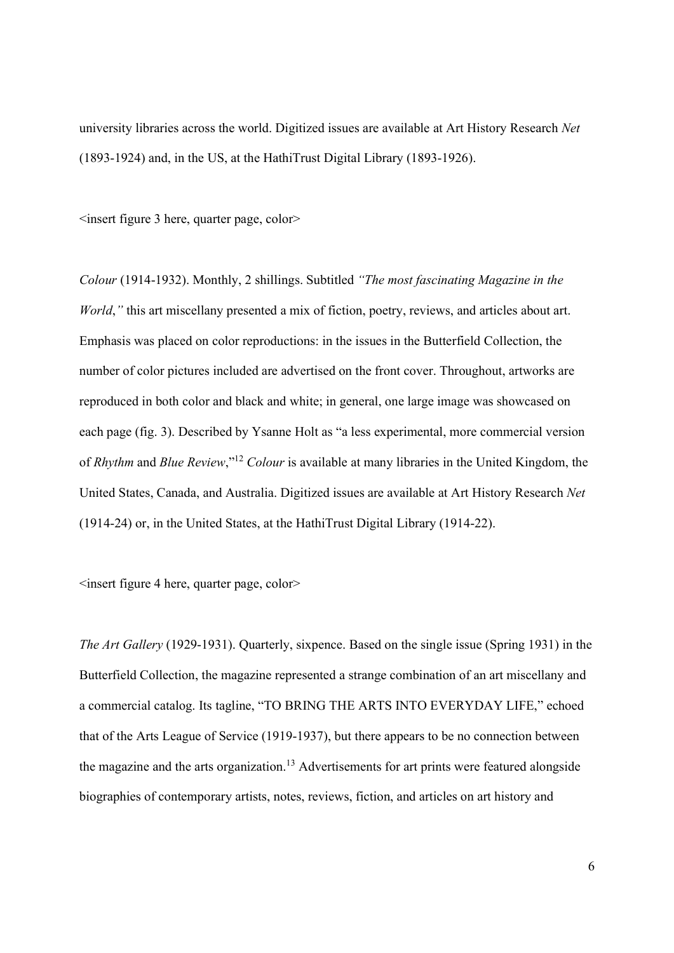university libraries across the world. Digitized issues are available at Art History Research Net (1893-1924) and, in the US, at the HathiTrust Digital Library (1893-1926).

 $\leq$ insert figure 3 here, quarter page, color $\geq$ 

Colour (1914-1932). Monthly, 2 shillings. Subtitled "The most fascinating Magazine in the World," this art miscellany presented a mix of fiction, poetry, reviews, and articles about art. Emphasis was placed on color reproductions: in the issues in the Butterfield Collection, the number of color pictures included are advertised on the front cover. Throughout, artworks are reproduced in both color and black and white; in general, one large image was showcased on each page (fig. 3). Described by Ysanne Holt as "a less experimental, more commercial version of Rhythm and Blue Review,"<sup>12</sup> Colour is available at many libraries in the United Kingdom, the United States, Canada, and Australia. Digitized issues are available at Art History Research Net (1914-24) or, in the United States, at the HathiTrust Digital Library (1914-22).

<insert figure 4 here, quarter page, color>

The Art Gallery (1929-1931). Quarterly, sixpence. Based on the single issue (Spring 1931) in the Butterfield Collection, the magazine represented a strange combination of an art miscellany and a commercial catalog. Its tagline, "TO BRING THE ARTS INTO EVERYDAY LIFE," echoed that of the Arts League of Service (1919-1937), but there appears to be no connection between the magazine and the arts organization.<sup>13</sup> Advertisements for art prints were featured alongside biographies of contemporary artists, notes, reviews, fiction, and articles on art history and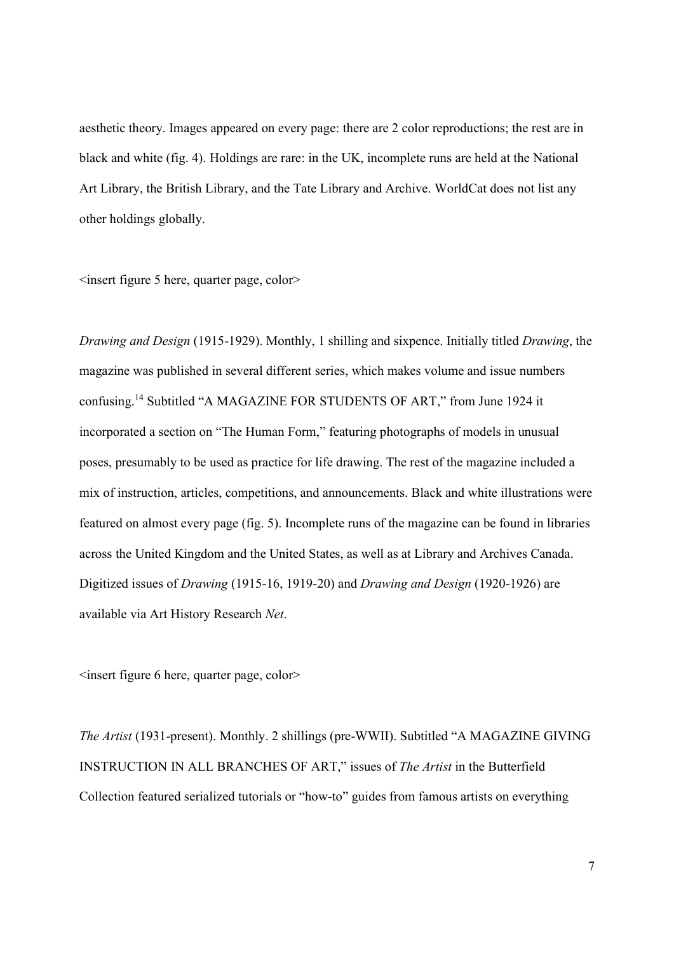aesthetic theory. Images appeared on every page: there are 2 color reproductions; the rest are in black and white (fig. 4). Holdings are rare: in the UK, incomplete runs are held at the National Art Library, the British Library, and the Tate Library and Archive. WorldCat does not list any other holdings globally.

 $\leq$ insert figure 5 here, quarter page, color $\geq$ 

Drawing and Design (1915-1929). Monthly, 1 shilling and sixpence. Initially titled Drawing, the magazine was published in several different series, which makes volume and issue numbers confusing.<sup>14</sup> Subtitled "A MAGAZINE FOR STUDENTS OF ART," from June 1924 it incorporated a section on "The Human Form," featuring photographs of models in unusual poses, presumably to be used as practice for life drawing. The rest of the magazine included a mix of instruction, articles, competitions, and announcements. Black and white illustrations were featured on almost every page (fig. 5). Incomplete runs of the magazine can be found in libraries across the United Kingdom and the United States, as well as at Library and Archives Canada. Digitized issues of Drawing (1915-16, 1919-20) and Drawing and Design (1920-1926) are available via Art History Research Net.

 $\leq$ insert figure 6 here, quarter page, color $\geq$ 

The Artist (1931-present). Monthly. 2 shillings (pre-WWII). Subtitled "A MAGAZINE GIVING INSTRUCTION IN ALL BRANCHES OF ART," issues of The Artist in the Butterfield Collection featured serialized tutorials or "how-to" guides from famous artists on everything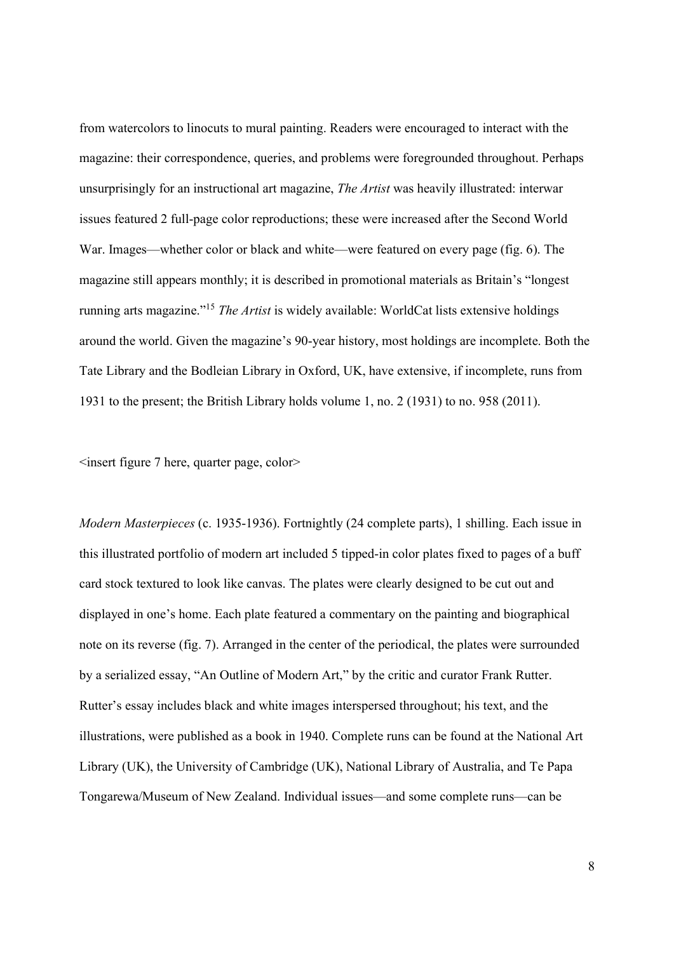from watercolors to linocuts to mural painting. Readers were encouraged to interact with the magazine: their correspondence, queries, and problems were foregrounded throughout. Perhaps unsurprisingly for an instructional art magazine, The Artist was heavily illustrated: interwar issues featured 2 full-page color reproductions; these were increased after the Second World War. Images—whether color or black and white—were featured on every page (fig. 6). The magazine still appears monthly; it is described in promotional materials as Britain's "longest running arts magazine."<sup>15</sup> The Artist is widely available: WorldCat lists extensive holdings around the world. Given the magazine's 90-year history, most holdings are incomplete. Both the Tate Library and the Bodleian Library in Oxford, UK, have extensive, if incomplete, runs from 1931 to the present; the British Library holds volume 1, no. 2 (1931) to no. 958 (2011).

<insert figure 7 here, quarter page, color>

Modern Masterpieces (c. 1935-1936). Fortnightly (24 complete parts), 1 shilling. Each issue in this illustrated portfolio of modern art included 5 tipped-in color plates fixed to pages of a buff card stock textured to look like canvas. The plates were clearly designed to be cut out and displayed in one's home. Each plate featured a commentary on the painting and biographical note on its reverse (fig. 7). Arranged in the center of the periodical, the plates were surrounded by a serialized essay, "An Outline of Modern Art," by the critic and curator Frank Rutter. Rutter's essay includes black and white images interspersed throughout; his text, and the illustrations, were published as a book in 1940. Complete runs can be found at the National Art Library (UK), the University of Cambridge (UK), National Library of Australia, and Te Papa Tongarewa/Museum of New Zealand. Individual issues—and some complete runs—can be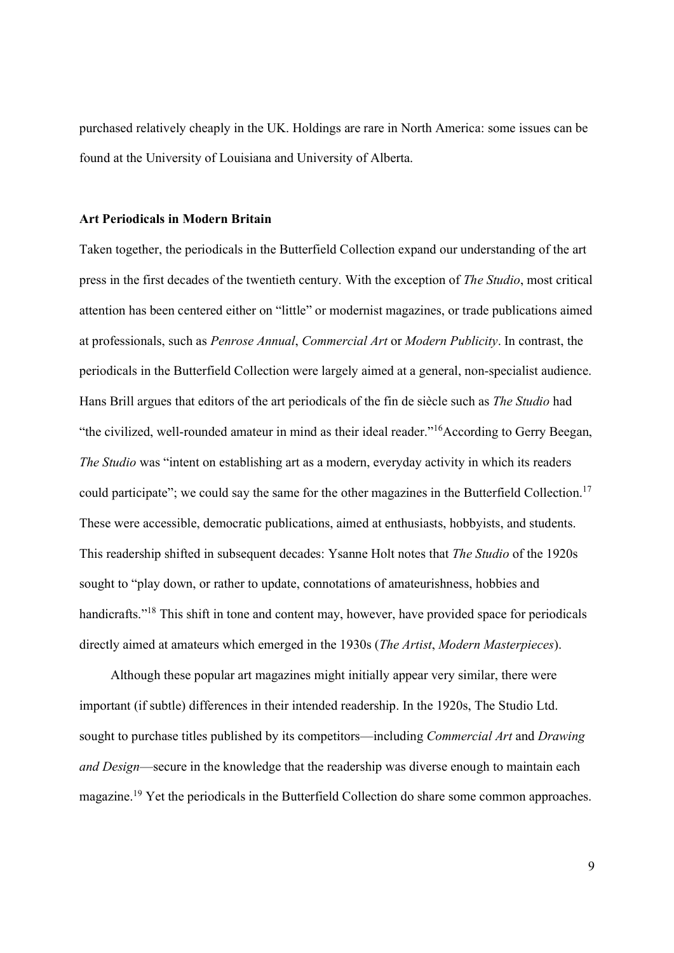purchased relatively cheaply in the UK. Holdings are rare in North America: some issues can be found at the University of Louisiana and University of Alberta.

#### Art Periodicals in Modern Britain

Taken together, the periodicals in the Butterfield Collection expand our understanding of the art press in the first decades of the twentieth century. With the exception of The Studio, most critical attention has been centered either on "little" or modernist magazines, or trade publications aimed at professionals, such as Penrose Annual, Commercial Art or Modern Publicity. In contrast, the periodicals in the Butterfield Collection were largely aimed at a general, non-specialist audience. Hans Brill argues that editors of the art periodicals of the fin de siècle such as The Studio had "the civilized, well-rounded amateur in mind as their ideal reader."<sup>16</sup>According to Gerry Beegan, The Studio was "intent on establishing art as a modern, everyday activity in which its readers could participate"; we could say the same for the other magazines in the Butterfield Collection.<sup>17</sup> These were accessible, democratic publications, aimed at enthusiasts, hobbyists, and students. This readership shifted in subsequent decades: Ysanne Holt notes that The Studio of the 1920s sought to "play down, or rather to update, connotations of amateurishness, hobbies and handicrafts."<sup>18</sup> This shift in tone and content may, however, have provided space for periodicals directly aimed at amateurs which emerged in the 1930s (*The Artist, Modern Masterpieces*).

Although these popular art magazines might initially appear very similar, there were important (if subtle) differences in their intended readership. In the 1920s, The Studio Ltd. sought to purchase titles published by its competitors—including *Commercial Art* and *Drawing* and Design—secure in the knowledge that the readership was diverse enough to maintain each magazine.<sup>19</sup> Yet the periodicals in the Butterfield Collection do share some common approaches.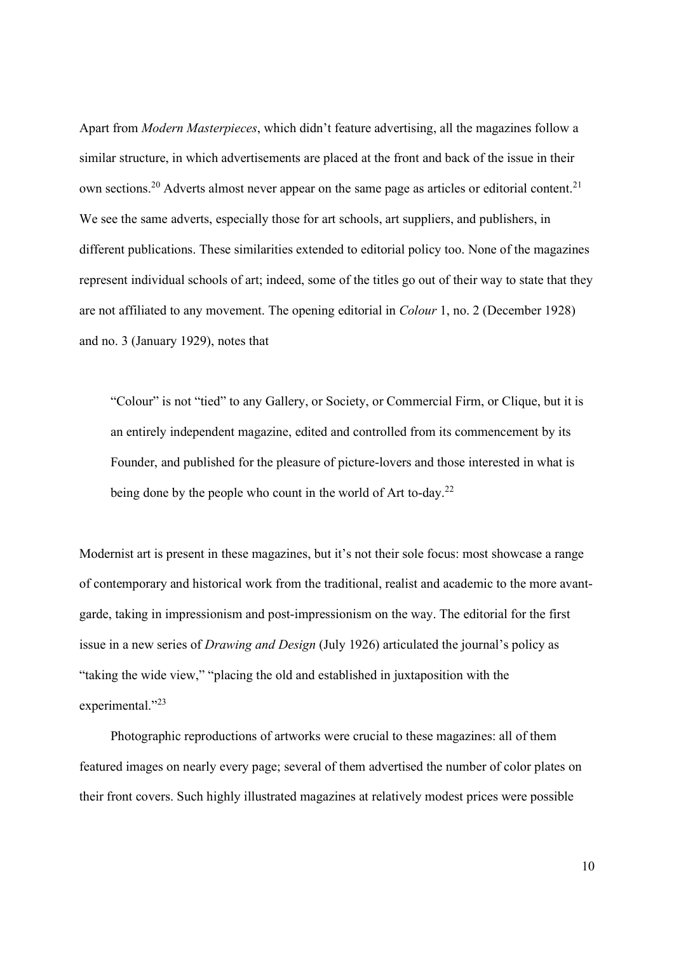Apart from Modern Masterpieces, which didn't feature advertising, all the magazines follow a similar structure, in which advertisements are placed at the front and back of the issue in their own sections.<sup>20</sup> Adverts almost never appear on the same page as articles or editorial content.<sup>21</sup> We see the same adverts, especially those for art schools, art suppliers, and publishers, in different publications. These similarities extended to editorial policy too. None of the magazines represent individual schools of art; indeed, some of the titles go out of their way to state that they are not affiliated to any movement. The opening editorial in Colour 1, no. 2 (December 1928) and no. 3 (January 1929), notes that

"Colour" is not "tied" to any Gallery, or Society, or Commercial Firm, or Clique, but it is an entirely independent magazine, edited and controlled from its commencement by its Founder, and published for the pleasure of picture-lovers and those interested in what is being done by the people who count in the world of Art to-day.<sup>22</sup>

Modernist art is present in these magazines, but it's not their sole focus: most showcase a range of contemporary and historical work from the traditional, realist and academic to the more avantgarde, taking in impressionism and post-impressionism on the way. The editorial for the first issue in a new series of Drawing and Design (July 1926) articulated the journal's policy as "taking the wide view," "placing the old and established in juxtaposition with the experimental."23

Photographic reproductions of artworks were crucial to these magazines: all of them featured images on nearly every page; several of them advertised the number of color plates on their front covers. Such highly illustrated magazines at relatively modest prices were possible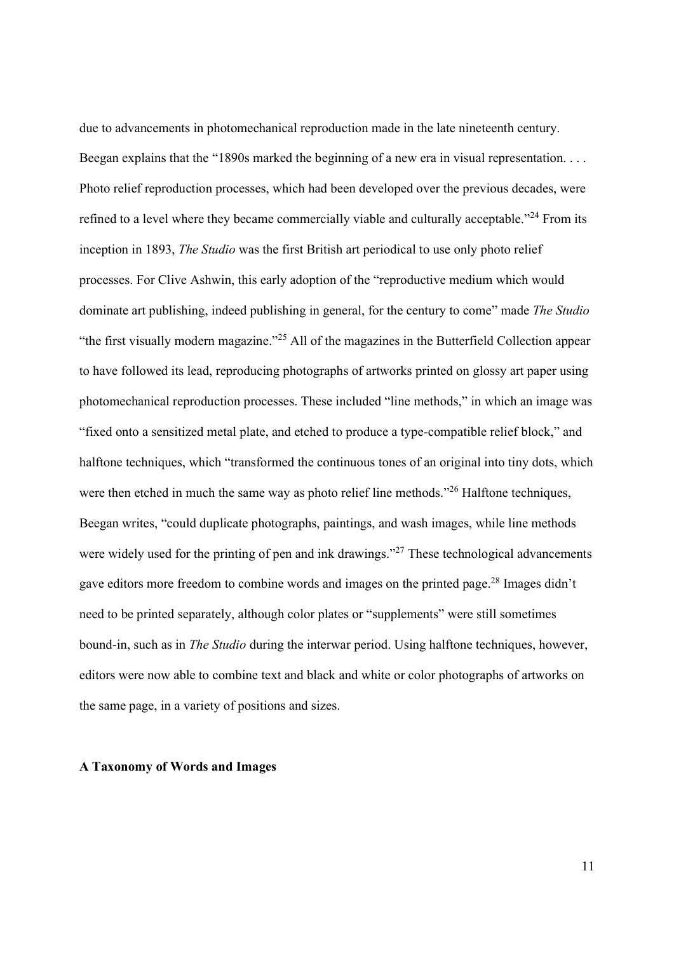due to advancements in photomechanical reproduction made in the late nineteenth century. Beegan explains that the "1890s marked the beginning of a new era in visual representation. . . . Photo relief reproduction processes, which had been developed over the previous decades, were refined to a level where they became commercially viable and culturally acceptable."<sup>24</sup> From its inception in 1893, The Studio was the first British art periodical to use only photo relief processes. For Clive Ashwin, this early adoption of the "reproductive medium which would dominate art publishing, indeed publishing in general, for the century to come" made The Studio "the first visually modern magazine."<sup>25</sup> All of the magazines in the Butterfield Collection appear to have followed its lead, reproducing photographs of artworks printed on glossy art paper using photomechanical reproduction processes. These included "line methods," in which an image was "fixed onto a sensitized metal plate, and etched to produce a type-compatible relief block," and halftone techniques, which "transformed the continuous tones of an original into tiny dots, which were then etched in much the same way as photo relief line methods."<sup>26</sup> Halftone techniques, Beegan writes, "could duplicate photographs, paintings, and wash images, while line methods were widely used for the printing of pen and ink drawings."<sup>27</sup> These technological advancements gave editors more freedom to combine words and images on the printed page.<sup>28</sup> Images didn't need to be printed separately, although color plates or "supplements" were still sometimes bound-in, such as in *The Studio* during the interwar period. Using halftone techniques, however, editors were now able to combine text and black and white or color photographs of artworks on the same page, in a variety of positions and sizes.

#### A Taxonomy of Words and Images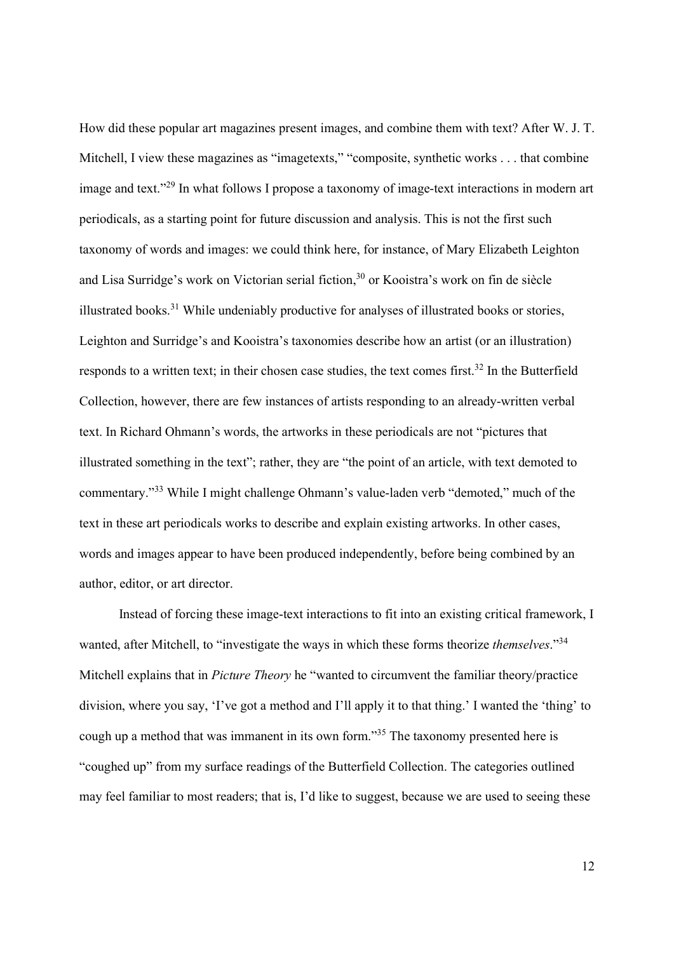How did these popular art magazines present images, and combine them with text? After W. J. T. Mitchell, I view these magazines as "imagetexts," "composite, synthetic works . . . that combine image and text."<sup>29</sup> In what follows I propose a taxonomy of image-text interactions in modern art periodicals, as a starting point for future discussion and analysis. This is not the first such taxonomy of words and images: we could think here, for instance, of Mary Elizabeth Leighton and Lisa Surridge's work on Victorian serial fiction,<sup>30</sup> or Kooistra's work on fin de siècle illustrated books.<sup>31</sup> While undeniably productive for analyses of illustrated books or stories, Leighton and Surridge's and Kooistra's taxonomies describe how an artist (or an illustration) responds to a written text; in their chosen case studies, the text comes first.<sup>32</sup> In the Butterfield Collection, however, there are few instances of artists responding to an already-written verbal text. In Richard Ohmann's words, the artworks in these periodicals are not "pictures that illustrated something in the text"; rather, they are "the point of an article, with text demoted to commentary."<sup>33</sup> While I might challenge Ohmann's value-laden verb "demoted," much of the text in these art periodicals works to describe and explain existing artworks. In other cases, words and images appear to have been produced independently, before being combined by an author, editor, or art director.

Instead of forcing these image-text interactions to fit into an existing critical framework, I wanted, after Mitchell, to "investigate the ways in which these forms theorize *themselves*."<sup>34</sup> Mitchell explains that in Picture Theory he "wanted to circumvent the familiar theory/practice division, where you say, 'I've got a method and I'll apply it to that thing.' I wanted the 'thing' to cough up a method that was immanent in its own form.<sup>35</sup> The taxonomy presented here is "coughed up" from my surface readings of the Butterfield Collection. The categories outlined may feel familiar to most readers; that is, I'd like to suggest, because we are used to seeing these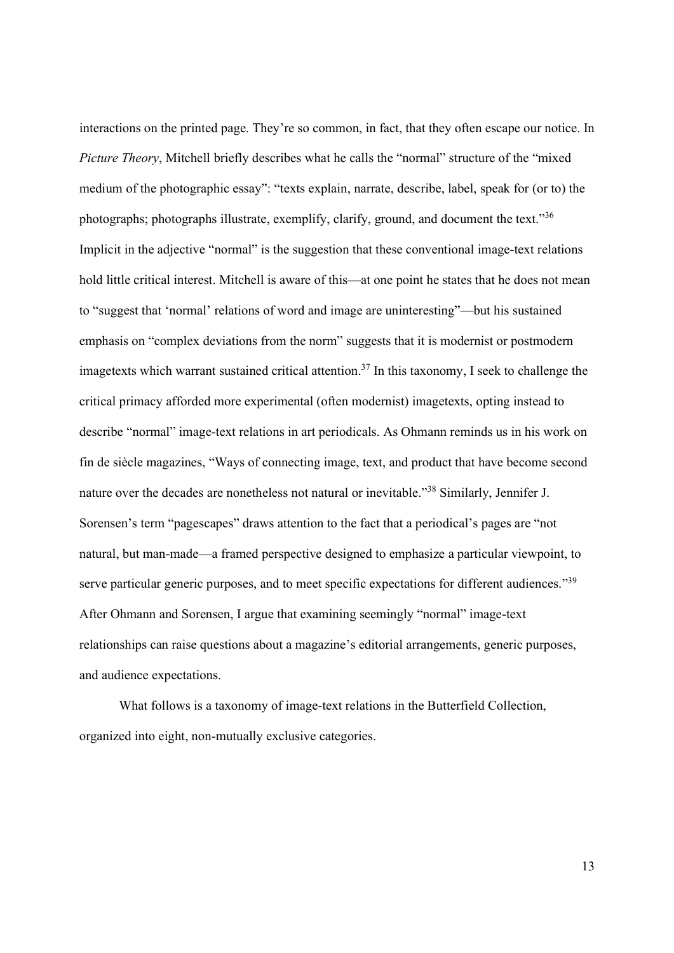interactions on the printed page. They're so common, in fact, that they often escape our notice. In Picture Theory, Mitchell briefly describes what he calls the "normal" structure of the "mixed medium of the photographic essay": "texts explain, narrate, describe, label, speak for (or to) the photographs; photographs illustrate, exemplify, clarify, ground, and document the text."<sup>36</sup> Implicit in the adjective "normal" is the suggestion that these conventional image-text relations hold little critical interest. Mitchell is aware of this—at one point he states that he does not mean to "suggest that 'normal' relations of word and image are uninteresting"—but his sustained emphasis on "complex deviations from the norm" suggests that it is modernist or postmodern imagetexts which warrant sustained critical attention.<sup>37</sup> In this taxonomy, I seek to challenge the critical primacy afforded more experimental (often modernist) imagetexts, opting instead to describe "normal" image-text relations in art periodicals. As Ohmann reminds us in his work on fin de siècle magazines, "Ways of connecting image, text, and product that have become second nature over the decades are nonetheless not natural or inevitable."<sup>38</sup> Similarly, Jennifer J. Sorensen's term "pagescapes" draws attention to the fact that a periodical's pages are "not natural, but man-made—a framed perspective designed to emphasize a particular viewpoint, to serve particular generic purposes, and to meet specific expectations for different audiences."39 After Ohmann and Sorensen, I argue that examining seemingly "normal" image-text relationships can raise questions about a magazine's editorial arrangements, generic purposes, and audience expectations.

What follows is a taxonomy of image-text relations in the Butterfield Collection, organized into eight, non-mutually exclusive categories.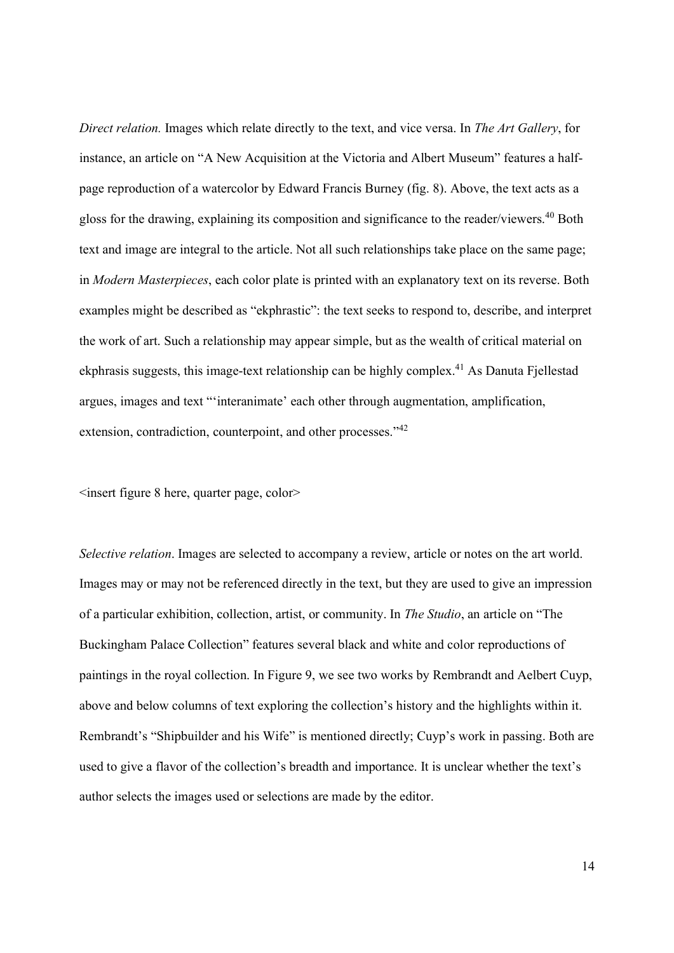Direct relation. Images which relate directly to the text, and vice versa. In The Art Gallery, for instance, an article on "A New Acquisition at the Victoria and Albert Museum" features a halfpage reproduction of a watercolor by Edward Francis Burney (fig. 8). Above, the text acts as a gloss for the drawing, explaining its composition and significance to the reader/viewers.<sup>40</sup> Both text and image are integral to the article. Not all such relationships take place on the same page; in Modern Masterpieces, each color plate is printed with an explanatory text on its reverse. Both examples might be described as "ekphrastic": the text seeks to respond to, describe, and interpret the work of art. Such a relationship may appear simple, but as the wealth of critical material on ekphrasis suggests, this image-text relationship can be highly complex.<sup>41</sup> As Danuta Fjellestad argues, images and text "'interanimate' each other through augmentation, amplification, extension, contradiction, counterpoint, and other processes."<sup>42</sup>

 $\leq$ insert figure 8 here, quarter page, color $\geq$ 

Selective relation. Images are selected to accompany a review, article or notes on the art world. Images may or may not be referenced directly in the text, but they are used to give an impression of a particular exhibition, collection, artist, or community. In The Studio, an article on "The Buckingham Palace Collection" features several black and white and color reproductions of paintings in the royal collection. In Figure 9, we see two works by Rembrandt and Aelbert Cuyp, above and below columns of text exploring the collection's history and the highlights within it. Rembrandt's "Shipbuilder and his Wife" is mentioned directly; Cuyp's work in passing. Both are used to give a flavor of the collection's breadth and importance. It is unclear whether the text's author selects the images used or selections are made by the editor.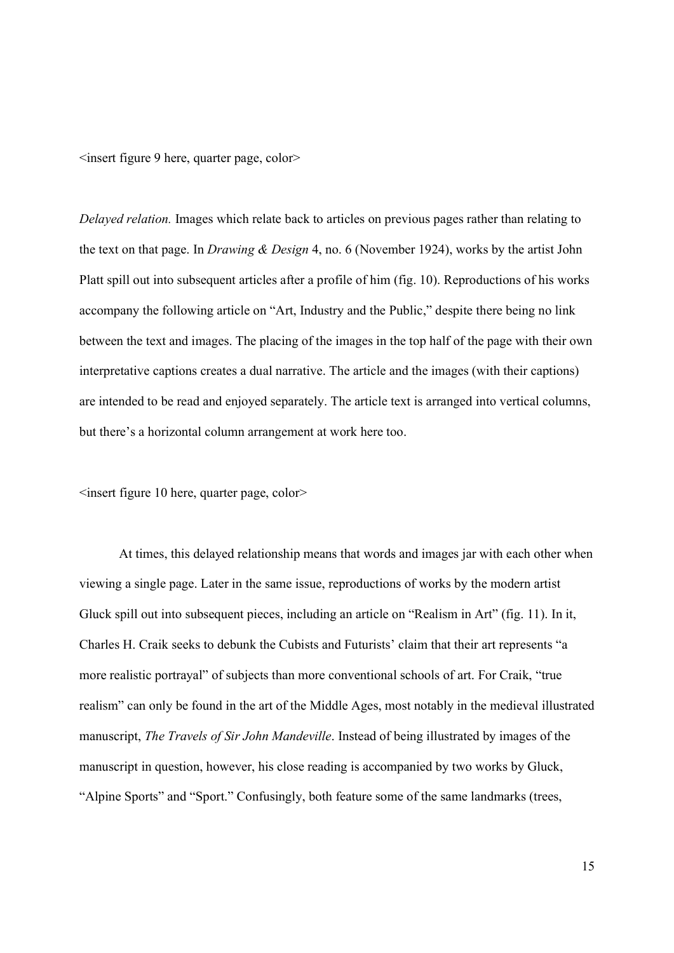<insert figure 9 here, quarter page, color>

Delayed relation. Images which relate back to articles on previous pages rather than relating to the text on that page. In Drawing & Design 4, no. 6 (November 1924), works by the artist John Platt spill out into subsequent articles after a profile of him (fig. 10). Reproductions of his works accompany the following article on "Art, Industry and the Public," despite there being no link between the text and images. The placing of the images in the top half of the page with their own interpretative captions creates a dual narrative. The article and the images (with their captions) are intended to be read and enjoyed separately. The article text is arranged into vertical columns, but there's a horizontal column arrangement at work here too.

 $\leq$ insert figure 10 here, quarter page, color $\geq$ 

At times, this delayed relationship means that words and images jar with each other when viewing a single page. Later in the same issue, reproductions of works by the modern artist Gluck spill out into subsequent pieces, including an article on "Realism in Art" (fig. 11). In it, Charles H. Craik seeks to debunk the Cubists and Futurists' claim that their art represents "a more realistic portrayal" of subjects than more conventional schools of art. For Craik, "true realism" can only be found in the art of the Middle Ages, most notably in the medieval illustrated manuscript, The Travels of Sir John Mandeville. Instead of being illustrated by images of the manuscript in question, however, his close reading is accompanied by two works by Gluck, "Alpine Sports" and "Sport." Confusingly, both feature some of the same landmarks (trees,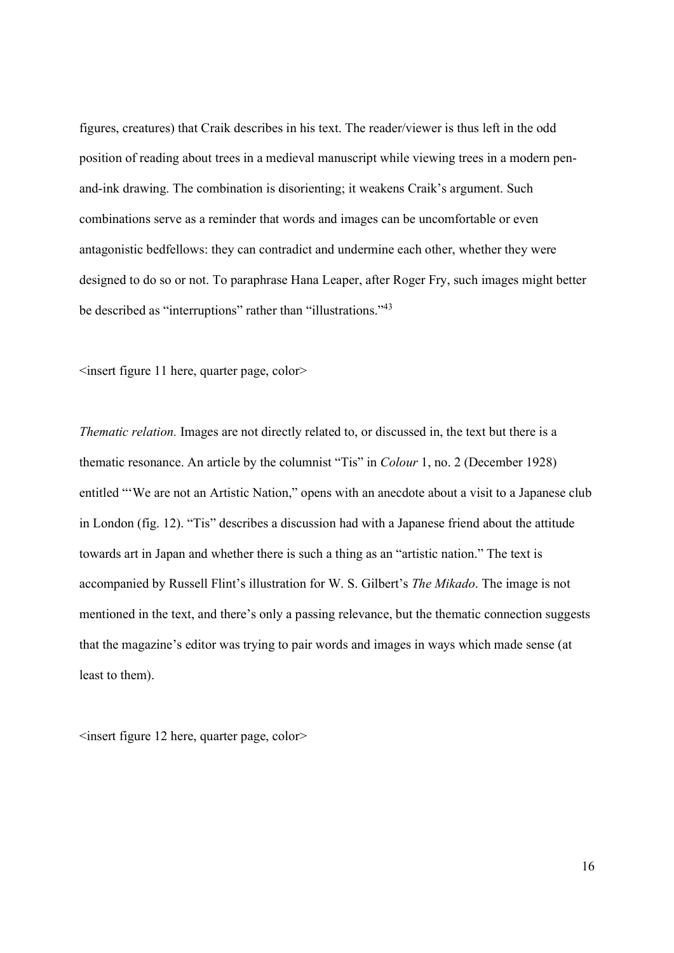figures, creatures) that Craik describes in his text. The reader/viewer is thus left in the odd position of reading about trees in a medieval manuscript while viewing trees in a modern penand-ink drawing. The combination is disorienting; it weakens Craik's argument. Such combinations serve as a reminder that words and images can be uncomfortable or even antagonistic bedfellows: they can contradict and undermine each other, whether they were designed to do so or not. To paraphrase Hana Leaper, after Roger Fry, such images might better be described as "interruptions" rather than "illustrations."<sup>43</sup>

 $\leq$ insert figure 11 here, quarter page, color $\geq$ 

Thematic relation. Images are not directly related to, or discussed in, the text but there is a thematic resonance. An article by the columnist "Tis" in Colour 1, no. 2 (December 1928) entitled "'We are not an Artistic Nation," opens with an anecdote about a visit to a Japanese club in London (fig. 12). "Tis" describes a discussion had with a Japanese friend about the attitude towards art in Japan and whether there is such a thing as an "artistic nation." The text is accompanied by Russell Flint's illustration for W. S. Gilbert's The Mikado. The image is not mentioned in the text, and there's only a passing relevance, but the thematic connection suggests that the magazine's editor was trying to pair words and images in ways which made sense (at least to them).

 $\leq$ insert figure 12 here, quarter page, color $\geq$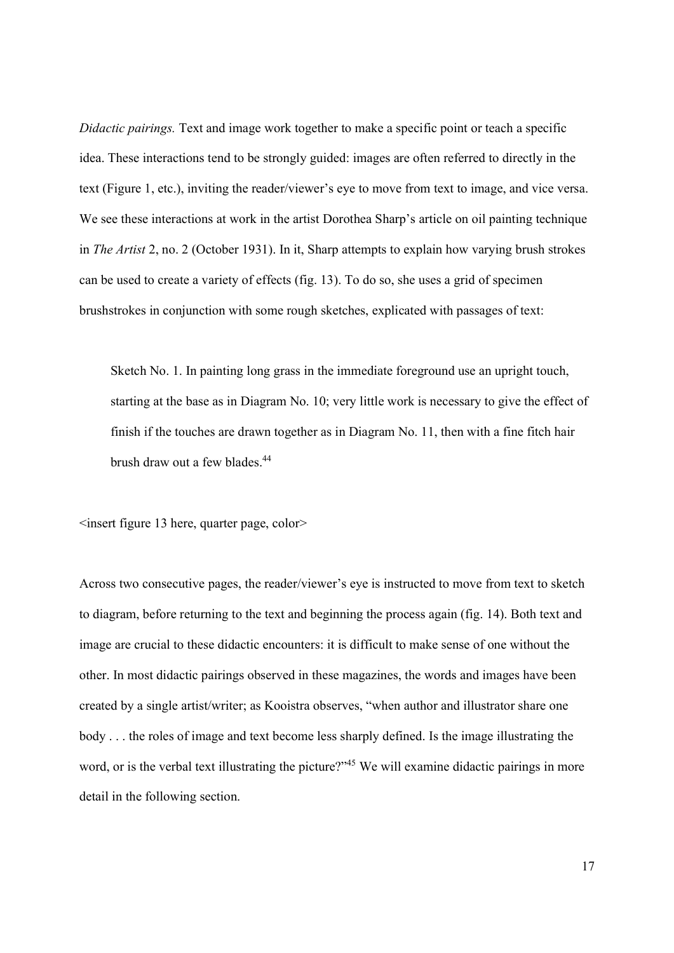Didactic pairings. Text and image work together to make a specific point or teach a specific idea. These interactions tend to be strongly guided: images are often referred to directly in the text (Figure 1, etc.), inviting the reader/viewer's eye to move from text to image, and vice versa. We see these interactions at work in the artist Dorothea Sharp's article on oil painting technique in The Artist 2, no. 2 (October 1931). In it, Sharp attempts to explain how varying brush strokes can be used to create a variety of effects (fig. 13). To do so, she uses a grid of specimen brushstrokes in conjunction with some rough sketches, explicated with passages of text:

Sketch No. 1. In painting long grass in the immediate foreground use an upright touch, starting at the base as in Diagram No. 10; very little work is necessary to give the effect of finish if the touches are drawn together as in Diagram No. 11, then with a fine fitch hair brush draw out a few blades.<sup>44</sup>

<insert figure 13 here, quarter page, color>

Across two consecutive pages, the reader/viewer's eye is instructed to move from text to sketch to diagram, before returning to the text and beginning the process again (fig. 14). Both text and image are crucial to these didactic encounters: it is difficult to make sense of one without the other. In most didactic pairings observed in these magazines, the words and images have been created by a single artist/writer; as Kooistra observes, "when author and illustrator share one body . . . the roles of image and text become less sharply defined. Is the image illustrating the word, or is the verbal text illustrating the picture?"<sup>45</sup> We will examine didactic pairings in more detail in the following section.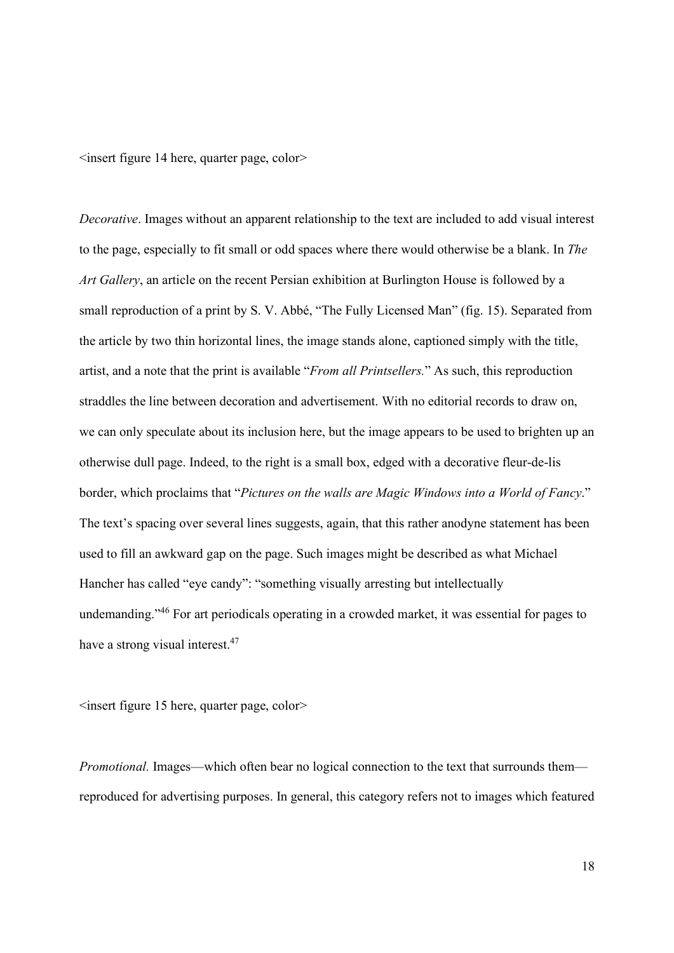<insert figure 14 here, quarter page, color>

Decorative. Images without an apparent relationship to the text are included to add visual interest to the page, especially to fit small or odd spaces where there would otherwise be a blank. In The Art Gallery, an article on the recent Persian exhibition at Burlington House is followed by a small reproduction of a print by S. V. Abbé, "The Fully Licensed Man" (fig. 15). Separated from the article by two thin horizontal lines, the image stands alone, captioned simply with the title, artist, and a note that the print is available "From all Printsellers." As such, this reproduction straddles the line between decoration and advertisement. With no editorial records to draw on, we can only speculate about its inclusion here, but the image appears to be used to brighten up an otherwise dull page. Indeed, to the right is a small box, edged with a decorative fleur-de-lis border, which proclaims that "Pictures on the walls are Magic Windows into a World of Fancy." The text's spacing over several lines suggests, again, that this rather anodyne statement has been used to fill an awkward gap on the page. Such images might be described as what Michael Hancher has called "eye candy": "something visually arresting but intellectually undemanding."<sup>46</sup> For art periodicals operating in a crowded market, it was essential for pages to have a strong visual interest.<sup>47</sup>

 $\leq$ insert figure 15 here, quarter page, color $\geq$ 

Promotional. Images—which often bear no logical connection to the text that surrounds them reproduced for advertising purposes. In general, this category refers not to images which featured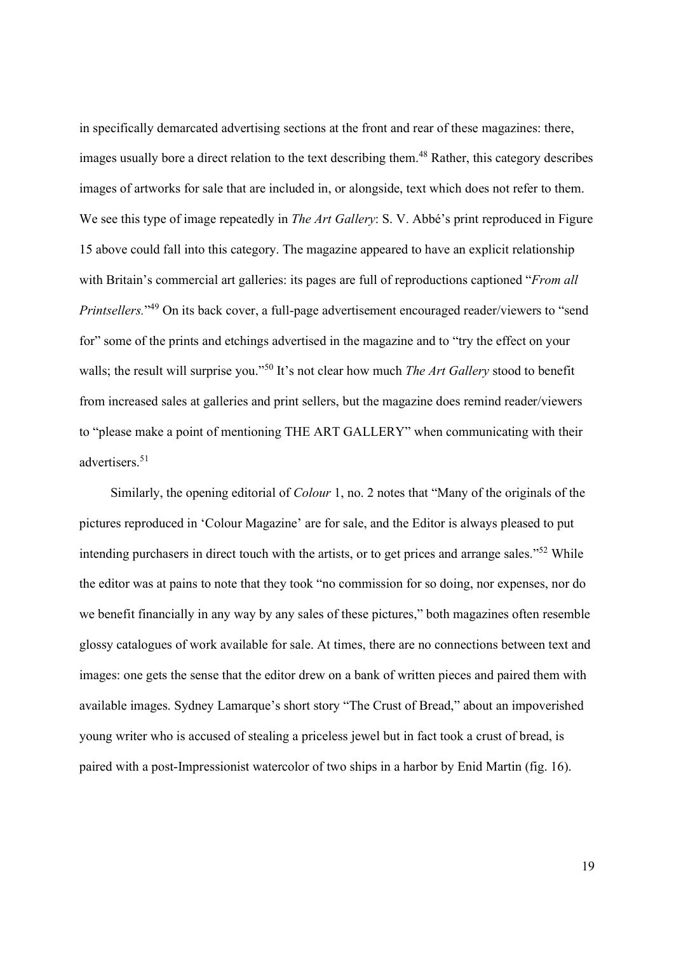in specifically demarcated advertising sections at the front and rear of these magazines: there, images usually bore a direct relation to the text describing them.<sup>48</sup> Rather, this category describes images of artworks for sale that are included in, or alongside, text which does not refer to them. We see this type of image repeatedly in *The Art Gallery*: S. V. Abbé's print reproduced in Figure 15 above could fall into this category. The magazine appeared to have an explicit relationship with Britain's commercial art galleries: its pages are full of reproductions captioned "*From all* Printsellers."<sup>49</sup> On its back cover, a full-page advertisement encouraged reader/viewers to "send for" some of the prints and etchings advertised in the magazine and to "try the effect on your walls; the result will surprise you."<sup>50</sup> It's not clear how much *The Art Gallery* stood to benefit from increased sales at galleries and print sellers, but the magazine does remind reader/viewers to "please make a point of mentioning THE ART GALLERY" when communicating with their advertisers.<sup>51</sup>

Similarly, the opening editorial of Colour 1, no. 2 notes that "Many of the originals of the pictures reproduced in 'Colour Magazine' are for sale, and the Editor is always pleased to put intending purchasers in direct touch with the artists, or to get prices and arrange sales."<sup>52</sup> While the editor was at pains to note that they took "no commission for so doing, nor expenses, nor do we benefit financially in any way by any sales of these pictures," both magazines often resemble glossy catalogues of work available for sale. At times, there are no connections between text and images: one gets the sense that the editor drew on a bank of written pieces and paired them with available images. Sydney Lamarque's short story "The Crust of Bread," about an impoverished young writer who is accused of stealing a priceless jewel but in fact took a crust of bread, is paired with a post-Impressionist watercolor of two ships in a harbor by Enid Martin (fig. 16).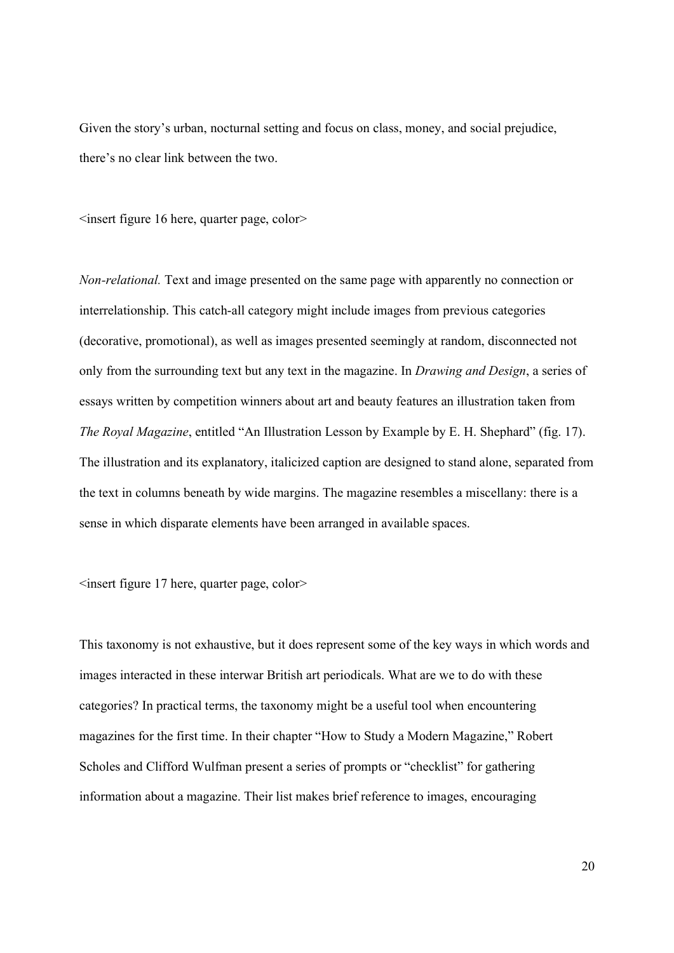Given the story's urban, nocturnal setting and focus on class, money, and social prejudice, there's no clear link between the two.

 $\leq$ insert figure 16 here, quarter page, color $\geq$ 

Non-relational. Text and image presented on the same page with apparently no connection or interrelationship. This catch-all category might include images from previous categories (decorative, promotional), as well as images presented seemingly at random, disconnected not only from the surrounding text but any text in the magazine. In Drawing and Design, a series of essays written by competition winners about art and beauty features an illustration taken from The Royal Magazine, entitled "An Illustration Lesson by Example by E. H. Shephard" (fig. 17). The illustration and its explanatory, italicized caption are designed to stand alone, separated from the text in columns beneath by wide margins. The magazine resembles a miscellany: there is a sense in which disparate elements have been arranged in available spaces.

<insert figure 17 here, quarter page, color>

This taxonomy is not exhaustive, but it does represent some of the key ways in which words and images interacted in these interwar British art periodicals. What are we to do with these categories? In practical terms, the taxonomy might be a useful tool when encountering magazines for the first time. In their chapter "How to Study a Modern Magazine," Robert Scholes and Clifford Wulfman present a series of prompts or "checklist" for gathering information about a magazine. Their list makes brief reference to images, encouraging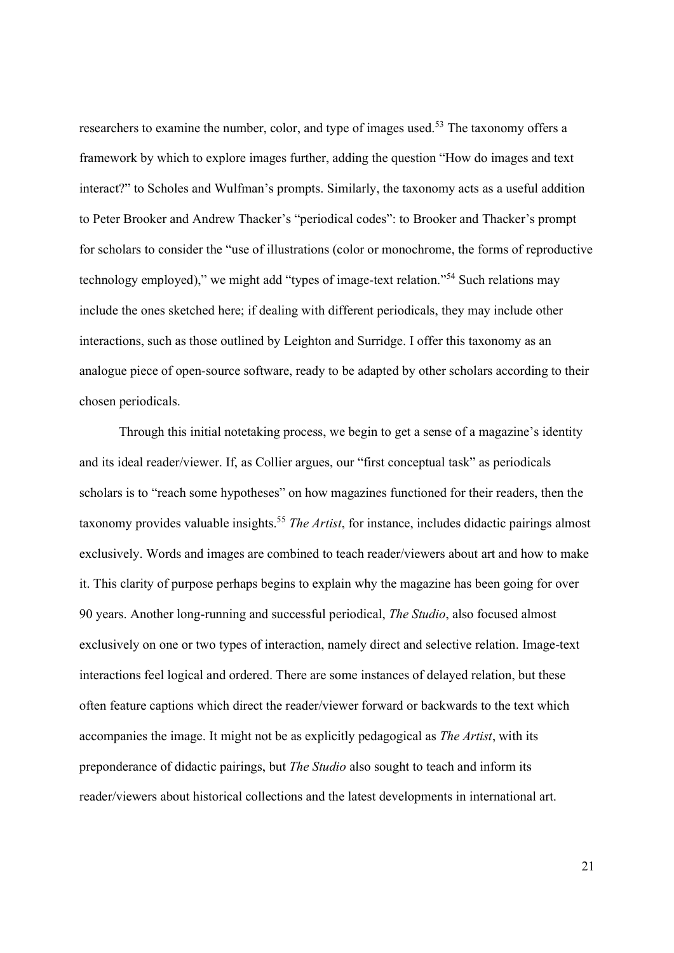researchers to examine the number, color, and type of images used.<sup>53</sup> The taxonomy offers a framework by which to explore images further, adding the question "How do images and text interact?" to Scholes and Wulfman's prompts. Similarly, the taxonomy acts as a useful addition to Peter Brooker and Andrew Thacker's "periodical codes": to Brooker and Thacker's prompt for scholars to consider the "use of illustrations (color or monochrome, the forms of reproductive technology employed)," we might add "types of image-text relation."<sup>54</sup> Such relations may include the ones sketched here; if dealing with different periodicals, they may include other interactions, such as those outlined by Leighton and Surridge. I offer this taxonomy as an analogue piece of open-source software, ready to be adapted by other scholars according to their chosen periodicals.

Through this initial notetaking process, we begin to get a sense of a magazine's identity and its ideal reader/viewer. If, as Collier argues, our "first conceptual task" as periodicals scholars is to "reach some hypotheses" on how magazines functioned for their readers, then the taxonomy provides valuable insights.<sup>55</sup> The Artist, for instance, includes didactic pairings almost exclusively. Words and images are combined to teach reader/viewers about art and how to make it. This clarity of purpose perhaps begins to explain why the magazine has been going for over 90 years. Another long-running and successful periodical, The Studio, also focused almost exclusively on one or two types of interaction, namely direct and selective relation. Image-text interactions feel logical and ordered. There are some instances of delayed relation, but these often feature captions which direct the reader/viewer forward or backwards to the text which accompanies the image. It might not be as explicitly pedagogical as The Artist, with its preponderance of didactic pairings, but The Studio also sought to teach and inform its reader/viewers about historical collections and the latest developments in international art.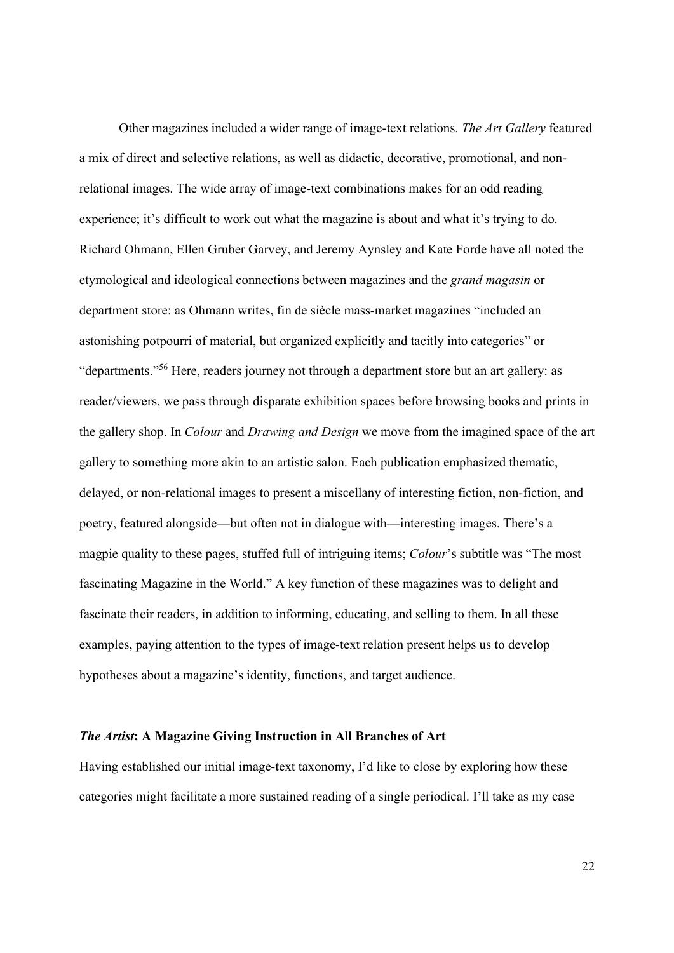Other magazines included a wider range of image-text relations. The Art Gallery featured a mix of direct and selective relations, as well as didactic, decorative, promotional, and nonrelational images. The wide array of image-text combinations makes for an odd reading experience; it's difficult to work out what the magazine is about and what it's trying to do. Richard Ohmann, Ellen Gruber Garvey, and Jeremy Aynsley and Kate Forde have all noted the etymological and ideological connections between magazines and the grand magasin or department store: as Ohmann writes, fin de siècle mass-market magazines "included an astonishing potpourri of material, but organized explicitly and tacitly into categories" or "departments."<sup>56</sup> Here, readers journey not through a department store but an art gallery: as reader/viewers, we pass through disparate exhibition spaces before browsing books and prints in the gallery shop. In Colour and Drawing and Design we move from the imagined space of the art gallery to something more akin to an artistic salon. Each publication emphasized thematic, delayed, or non-relational images to present a miscellany of interesting fiction, non-fiction, and poetry, featured alongside—but often not in dialogue with—interesting images. There's a magpie quality to these pages, stuffed full of intriguing items; Colour's subtitle was "The most fascinating Magazine in the World." A key function of these magazines was to delight and fascinate their readers, in addition to informing, educating, and selling to them. In all these examples, paying attention to the types of image-text relation present helps us to develop hypotheses about a magazine's identity, functions, and target audience.

### The Artist: A Magazine Giving Instruction in All Branches of Art

Having established our initial image-text taxonomy, I'd like to close by exploring how these categories might facilitate a more sustained reading of a single periodical. I'll take as my case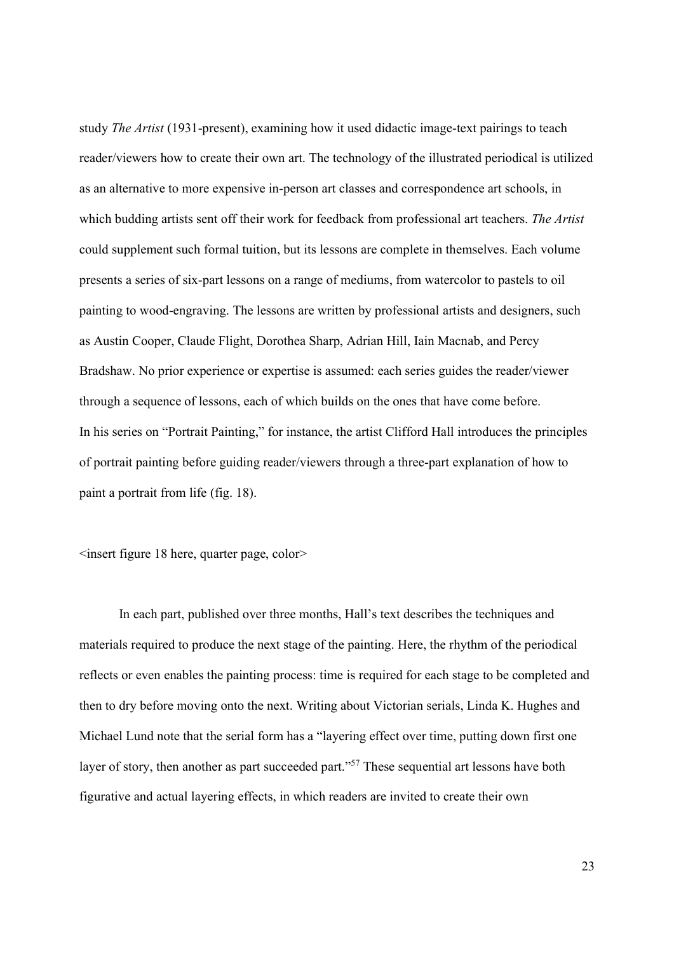study The Artist (1931-present), examining how it used didactic image-text pairings to teach reader/viewers how to create their own art. The technology of the illustrated periodical is utilized as an alternative to more expensive in-person art classes and correspondence art schools, in which budding artists sent off their work for feedback from professional art teachers. The Artist could supplement such formal tuition, but its lessons are complete in themselves. Each volume presents a series of six-part lessons on a range of mediums, from watercolor to pastels to oil painting to wood-engraving. The lessons are written by professional artists and designers, such as Austin Cooper, Claude Flight, Dorothea Sharp, Adrian Hill, Iain Macnab, and Percy Bradshaw. No prior experience or expertise is assumed: each series guides the reader/viewer through a sequence of lessons, each of which builds on the ones that have come before. In his series on "Portrait Painting," for instance, the artist Clifford Hall introduces the principles of portrait painting before guiding reader/viewers through a three-part explanation of how to paint a portrait from life (fig. 18).

<insert figure 18 here, quarter page, color>

In each part, published over three months, Hall's text describes the techniques and materials required to produce the next stage of the painting. Here, the rhythm of the periodical reflects or even enables the painting process: time is required for each stage to be completed and then to dry before moving onto the next. Writing about Victorian serials, Linda K. Hughes and Michael Lund note that the serial form has a "layering effect over time, putting down first one layer of story, then another as part succeeded part."<sup>57</sup> These sequential art lessons have both figurative and actual layering effects, in which readers are invited to create their own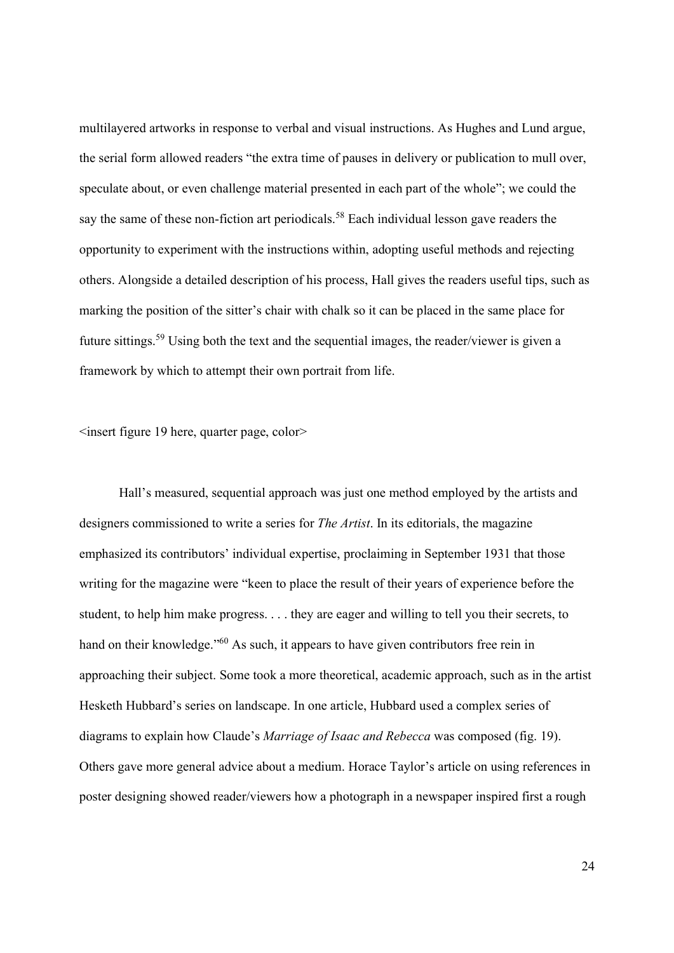multilayered artworks in response to verbal and visual instructions. As Hughes and Lund argue, the serial form allowed readers "the extra time of pauses in delivery or publication to mull over, speculate about, or even challenge material presented in each part of the whole"; we could the say the same of these non-fiction art periodicals.<sup>58</sup> Each individual lesson gave readers the opportunity to experiment with the instructions within, adopting useful methods and rejecting others. Alongside a detailed description of his process, Hall gives the readers useful tips, such as marking the position of the sitter's chair with chalk so it can be placed in the same place for future sittings.<sup>59</sup> Using both the text and the sequential images, the reader/viewer is given a framework by which to attempt their own portrait from life.

<insert figure 19 here, quarter page, color>

Hall's measured, sequential approach was just one method employed by the artists and designers commissioned to write a series for *The Artist*. In its editorials, the magazine emphasized its contributors' individual expertise, proclaiming in September 1931 that those writing for the magazine were "keen to place the result of their years of experience before the student, to help him make progress. . . . they are eager and willing to tell you their secrets, to hand on their knowledge."<sup>60</sup> As such, it appears to have given contributors free rein in approaching their subject. Some took a more theoretical, academic approach, such as in the artist Hesketh Hubbard's series on landscape. In one article, Hubbard used a complex series of diagrams to explain how Claude's Marriage of Isaac and Rebecca was composed (fig. 19). Others gave more general advice about a medium. Horace Taylor's article on using references in poster designing showed reader/viewers how a photograph in a newspaper inspired first a rough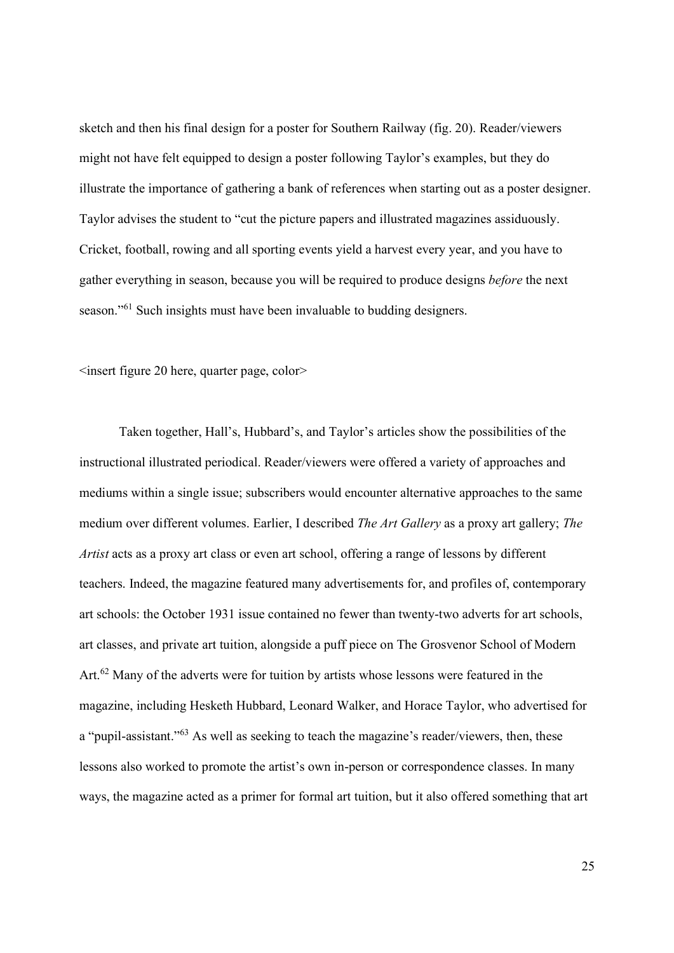sketch and then his final design for a poster for Southern Railway (fig. 20). Reader/viewers might not have felt equipped to design a poster following Taylor's examples, but they do illustrate the importance of gathering a bank of references when starting out as a poster designer. Taylor advises the student to "cut the picture papers and illustrated magazines assiduously. Cricket, football, rowing and all sporting events yield a harvest every year, and you have to gather everything in season, because you will be required to produce designs before the next season."<sup>61</sup> Such insights must have been invaluable to budding designers.

 $\leq$ insert figure 20 here, quarter page, color $\geq$ 

Taken together, Hall's, Hubbard's, and Taylor's articles show the possibilities of the instructional illustrated periodical. Reader/viewers were offered a variety of approaches and mediums within a single issue; subscribers would encounter alternative approaches to the same medium over different volumes. Earlier, I described The Art Gallery as a proxy art gallery; The Artist acts as a proxy art class or even art school, offering a range of lessons by different teachers. Indeed, the magazine featured many advertisements for, and profiles of, contemporary art schools: the October 1931 issue contained no fewer than twenty-two adverts for art schools, art classes, and private art tuition, alongside a puff piece on The Grosvenor School of Modern Art.<sup>62</sup> Many of the adverts were for tuition by artists whose lessons were featured in the magazine, including Hesketh Hubbard, Leonard Walker, and Horace Taylor, who advertised for a "pupil-assistant."<sup>63</sup> As well as seeking to teach the magazine's reader/viewers, then, these lessons also worked to promote the artist's own in-person or correspondence classes. In many ways, the magazine acted as a primer for formal art tuition, but it also offered something that art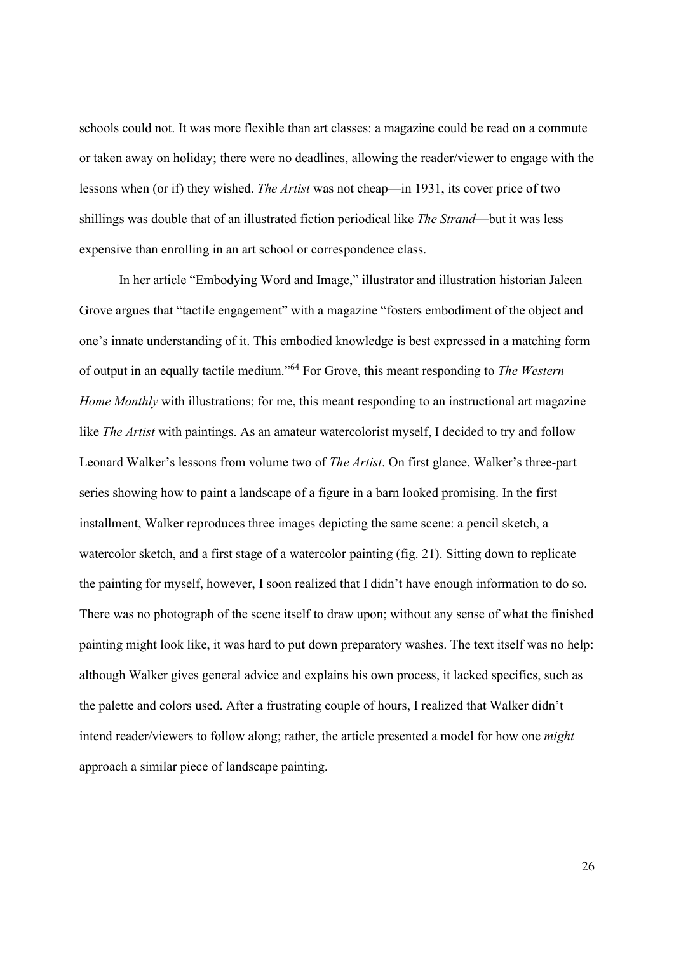schools could not. It was more flexible than art classes: a magazine could be read on a commute or taken away on holiday; there were no deadlines, allowing the reader/viewer to engage with the lessons when (or if) they wished. The Artist was not cheap—in 1931, its cover price of two shillings was double that of an illustrated fiction periodical like The Strand—but it was less expensive than enrolling in an art school or correspondence class.

In her article "Embodying Word and Image," illustrator and illustration historian Jaleen Grove argues that "tactile engagement" with a magazine "fosters embodiment of the object and one's innate understanding of it. This embodied knowledge is best expressed in a matching form of output in an equally tactile medium."<sup>64</sup> For Grove, this meant responding to The Western Home Monthly with illustrations; for me, this meant responding to an instructional art magazine like The Artist with paintings. As an amateur watercolorist myself, I decided to try and follow Leonard Walker's lessons from volume two of The Artist. On first glance, Walker's three-part series showing how to paint a landscape of a figure in a barn looked promising. In the first installment, Walker reproduces three images depicting the same scene: a pencil sketch, a watercolor sketch, and a first stage of a watercolor painting (fig. 21). Sitting down to replicate the painting for myself, however, I soon realized that I didn't have enough information to do so. There was no photograph of the scene itself to draw upon; without any sense of what the finished painting might look like, it was hard to put down preparatory washes. The text itself was no help: although Walker gives general advice and explains his own process, it lacked specifics, such as the palette and colors used. After a frustrating couple of hours, I realized that Walker didn't intend reader/viewers to follow along; rather, the article presented a model for how one might approach a similar piece of landscape painting.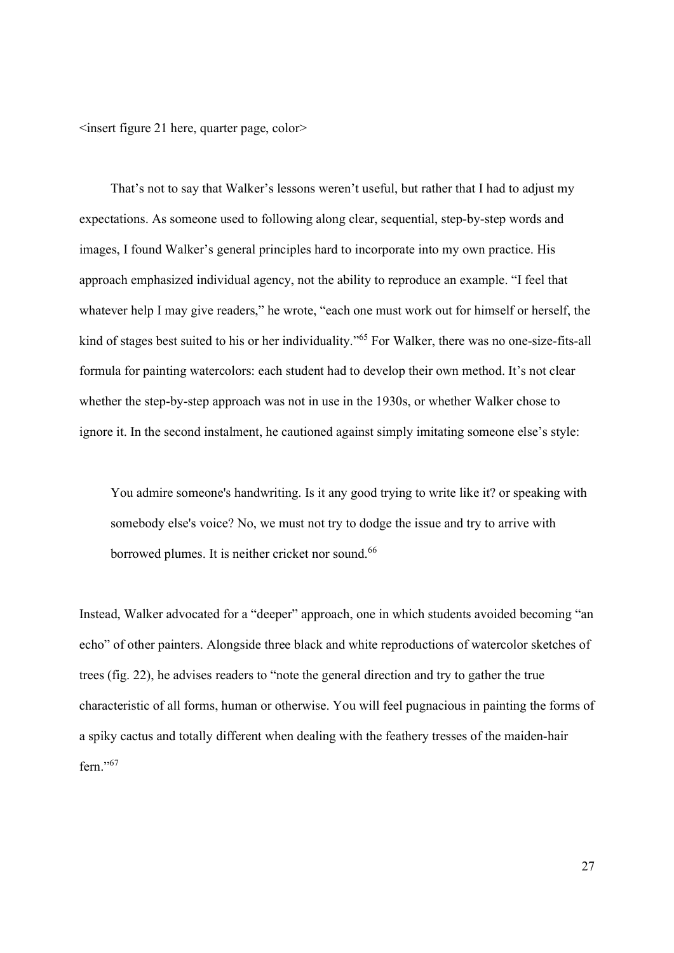<insert figure 21 here, quarter page, color>

That's not to say that Walker's lessons weren't useful, but rather that I had to adjust my expectations. As someone used to following along clear, sequential, step-by-step words and images, I found Walker's general principles hard to incorporate into my own practice. His approach emphasized individual agency, not the ability to reproduce an example. "I feel that whatever help I may give readers," he wrote, "each one must work out for himself or herself, the kind of stages best suited to his or her individuality."<sup>65</sup> For Walker, there was no one-size-fits-all formula for painting watercolors: each student had to develop their own method. It's not clear whether the step-by-step approach was not in use in the 1930s, or whether Walker chose to ignore it. In the second instalment, he cautioned against simply imitating someone else's style:

You admire someone's handwriting. Is it any good trying to write like it? or speaking with somebody else's voice? No, we must not try to dodge the issue and try to arrive with borrowed plumes. It is neither cricket nor sound.<sup>66</sup>

Instead, Walker advocated for a "deeper" approach, one in which students avoided becoming "an echo" of other painters. Alongside three black and white reproductions of watercolor sketches of trees (fig. 22), he advises readers to "note the general direction and try to gather the true characteristic of all forms, human or otherwise. You will feel pugnacious in painting the forms of a spiky cactus and totally different when dealing with the feathery tresses of the maiden-hair fern."<sup>67</sup>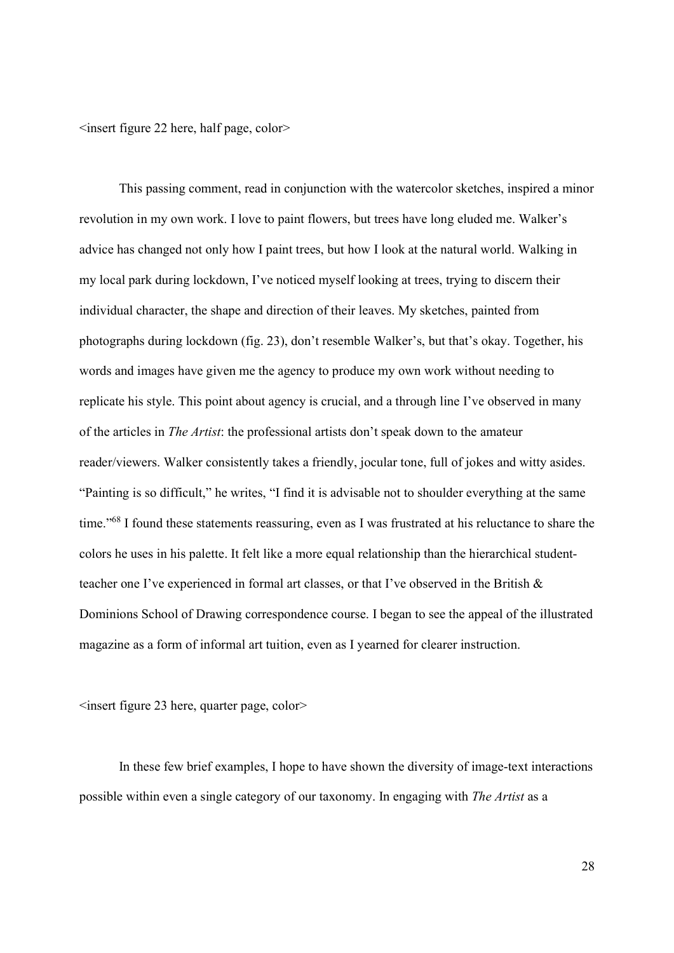$\leq$ insert figure 22 here, half page, color $\geq$ 

This passing comment, read in conjunction with the watercolor sketches, inspired a minor revolution in my own work. I love to paint flowers, but trees have long eluded me. Walker's advice has changed not only how I paint trees, but how I look at the natural world. Walking in my local park during lockdown, I've noticed myself looking at trees, trying to discern their individual character, the shape and direction of their leaves. My sketches, painted from photographs during lockdown (fig. 23), don't resemble Walker's, but that's okay. Together, his words and images have given me the agency to produce my own work without needing to replicate his style. This point about agency is crucial, and a through line I've observed in many of the articles in The Artist: the professional artists don't speak down to the amateur reader/viewers. Walker consistently takes a friendly, jocular tone, full of jokes and witty asides. "Painting is so difficult," he writes, "I find it is advisable not to shoulder everything at the same time."<sup>68</sup> I found these statements reassuring, even as I was frustrated at his reluctance to share the colors he uses in his palette. It felt like a more equal relationship than the hierarchical studentteacher one I've experienced in formal art classes, or that I've observed in the British & Dominions School of Drawing correspondence course. I began to see the appeal of the illustrated magazine as a form of informal art tuition, even as I yearned for clearer instruction.

 $\leq$ insert figure 23 here, quarter page, color $\geq$ 

In these few brief examples, I hope to have shown the diversity of image-text interactions possible within even a single category of our taxonomy. In engaging with The Artist as a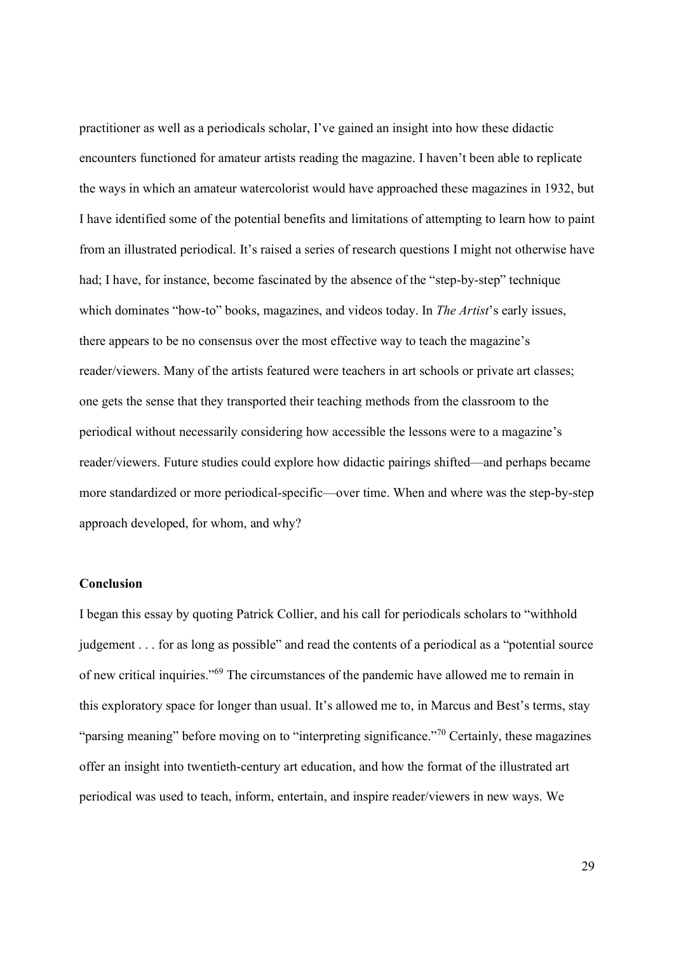practitioner as well as a periodicals scholar, I've gained an insight into how these didactic encounters functioned for amateur artists reading the magazine. I haven't been able to replicate the ways in which an amateur watercolorist would have approached these magazines in 1932, but I have identified some of the potential benefits and limitations of attempting to learn how to paint from an illustrated periodical. It's raised a series of research questions I might not otherwise have had; I have, for instance, become fascinated by the absence of the "step-by-step" technique which dominates "how-to" books, magazines, and videos today. In *The Artist's* early issues, there appears to be no consensus over the most effective way to teach the magazine's reader/viewers. Many of the artists featured were teachers in art schools or private art classes; one gets the sense that they transported their teaching methods from the classroom to the periodical without necessarily considering how accessible the lessons were to a magazine's reader/viewers. Future studies could explore how didactic pairings shifted—and perhaps became more standardized or more periodical-specific—over time. When and where was the step-by-step approach developed, for whom, and why?

#### Conclusion

I began this essay by quoting Patrick Collier, and his call for periodicals scholars to "withhold judgement . . . for as long as possible" and read the contents of a periodical as a "potential source of new critical inquiries."<sup>69</sup> The circumstances of the pandemic have allowed me to remain in this exploratory space for longer than usual. It's allowed me to, in Marcus and Best's terms, stay "parsing meaning" before moving on to "interpreting significance."<sup>70</sup> Certainly, these magazines offer an insight into twentieth-century art education, and how the format of the illustrated art periodical was used to teach, inform, entertain, and inspire reader/viewers in new ways. We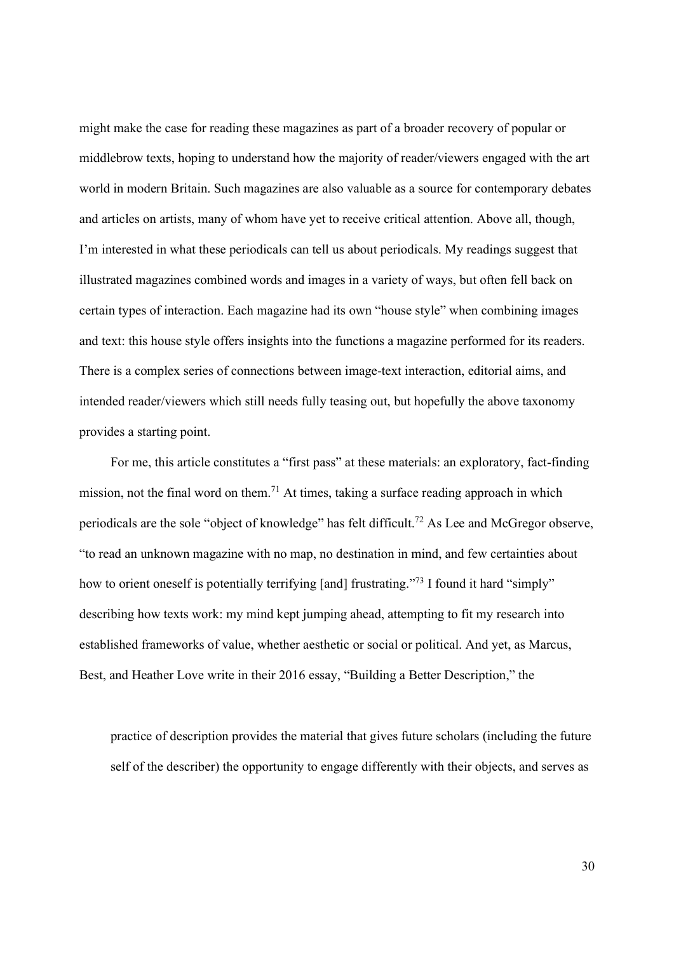might make the case for reading these magazines as part of a broader recovery of popular or middlebrow texts, hoping to understand how the majority of reader/viewers engaged with the art world in modern Britain. Such magazines are also valuable as a source for contemporary debates and articles on artists, many of whom have yet to receive critical attention. Above all, though, I'm interested in what these periodicals can tell us about periodicals. My readings suggest that illustrated magazines combined words and images in a variety of ways, but often fell back on certain types of interaction. Each magazine had its own "house style" when combining images and text: this house style offers insights into the functions a magazine performed for its readers. There is a complex series of connections between image-text interaction, editorial aims, and intended reader/viewers which still needs fully teasing out, but hopefully the above taxonomy provides a starting point.

For me, this article constitutes a "first pass" at these materials: an exploratory, fact-finding mission, not the final word on them.<sup>71</sup> At times, taking a surface reading approach in which periodicals are the sole "object of knowledge" has felt difficult.<sup>72</sup> As Lee and McGregor observe, "to read an unknown magazine with no map, no destination in mind, and few certainties about how to orient oneself is potentially terrifying [and] frustrating."<sup>73</sup> I found it hard "simply" describing how texts work: my mind kept jumping ahead, attempting to fit my research into established frameworks of value, whether aesthetic or social or political. And yet, as Marcus, Best, and Heather Love write in their 2016 essay, "Building a Better Description," the

practice of description provides the material that gives future scholars (including the future self of the describer) the opportunity to engage differently with their objects, and serves as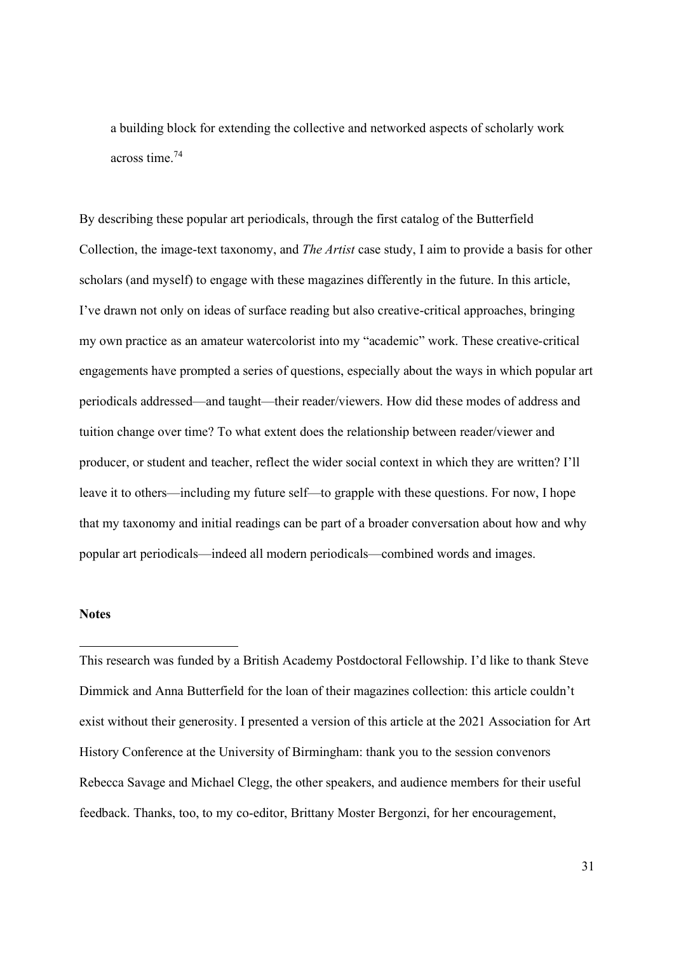a building block for extending the collective and networked aspects of scholarly work across time.<sup>74</sup>

By describing these popular art periodicals, through the first catalog of the Butterfield Collection, the image-text taxonomy, and The Artist case study, I aim to provide a basis for other scholars (and myself) to engage with these magazines differently in the future. In this article, I've drawn not only on ideas of surface reading but also creative-critical approaches, bringing my own practice as an amateur watercolorist into my "academic" work. These creative-critical engagements have prompted a series of questions, especially about the ways in which popular art periodicals addressed—and taught—their reader/viewers. How did these modes of address and tuition change over time? To what extent does the relationship between reader/viewer and producer, or student and teacher, reflect the wider social context in which they are written? I'll leave it to others—including my future self—to grapple with these questions. For now, I hope that my taxonomy and initial readings can be part of a broader conversation about how and why popular art periodicals—indeed all modern periodicals—combined words and images.

# **Notes**

This research was funded by a British Academy Postdoctoral Fellowship. I'd like to thank Steve Dimmick and Anna Butterfield for the loan of their magazines collection: this article couldn't exist without their generosity. I presented a version of this article at the 2021 Association for Art History Conference at the University of Birmingham: thank you to the session convenors Rebecca Savage and Michael Clegg, the other speakers, and audience members for their useful feedback. Thanks, too, to my co-editor, Brittany Moster Bergonzi, for her encouragement,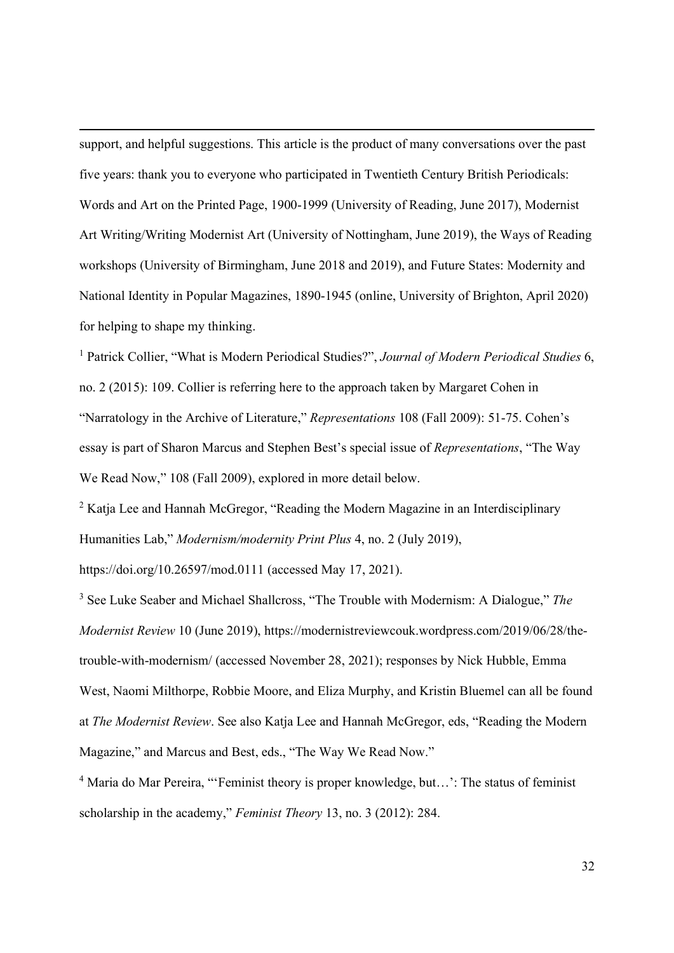support, and helpful suggestions. This article is the product of many conversations over the past five years: thank you to everyone who participated in Twentieth Century British Periodicals: Words and Art on the Printed Page, 1900-1999 (University of Reading, June 2017), Modernist Art Writing/Writing Modernist Art (University of Nottingham, June 2019), the Ways of Reading workshops (University of Birmingham, June 2018 and 2019), and Future States: Modernity and National Identity in Popular Magazines, 1890-1945 (online, University of Brighton, April 2020) for helping to shape my thinking.

<sup>1</sup> Patrick Collier, "What is Modern Periodical Studies?", Journal of Modern Periodical Studies 6, no. 2 (2015): 109. Collier is referring here to the approach taken by Margaret Cohen in "Narratology in the Archive of Literature," Representations 108 (Fall 2009): 51-75. Cohen's essay is part of Sharon Marcus and Stephen Best's special issue of Representations, "The Way We Read Now," 108 (Fall 2009), explored in more detail below.

<sup>2</sup> Katja Lee and Hannah McGregor, "Reading the Modern Magazine in an Interdisciplinary Humanities Lab," Modernism/modernity Print Plus 4, no. 2 (July 2019),

https://doi.org/10.26597/mod.0111 (accessed May 17, 2021).

<sup>3</sup> See Luke Seaber and Michael Shallcross, "The Trouble with Modernism: A Dialogue," The Modernist Review 10 (June 2019), https://modernistreviewcouk.wordpress.com/2019/06/28/thetrouble-with-modernism/ (accessed November 28, 2021); responses by Nick Hubble, Emma West, Naomi Milthorpe, Robbie Moore, and Eliza Murphy, and Kristin Bluemel can all be found at The Modernist Review. See also Katja Lee and Hannah McGregor, eds, "Reading the Modern Magazine," and Marcus and Best, eds., "The Way We Read Now."

<sup>4</sup> Maria do Mar Pereira, "'Feminist theory is proper knowledge, but...': The status of feminist scholarship in the academy," Feminist Theory 13, no. 3 (2012): 284.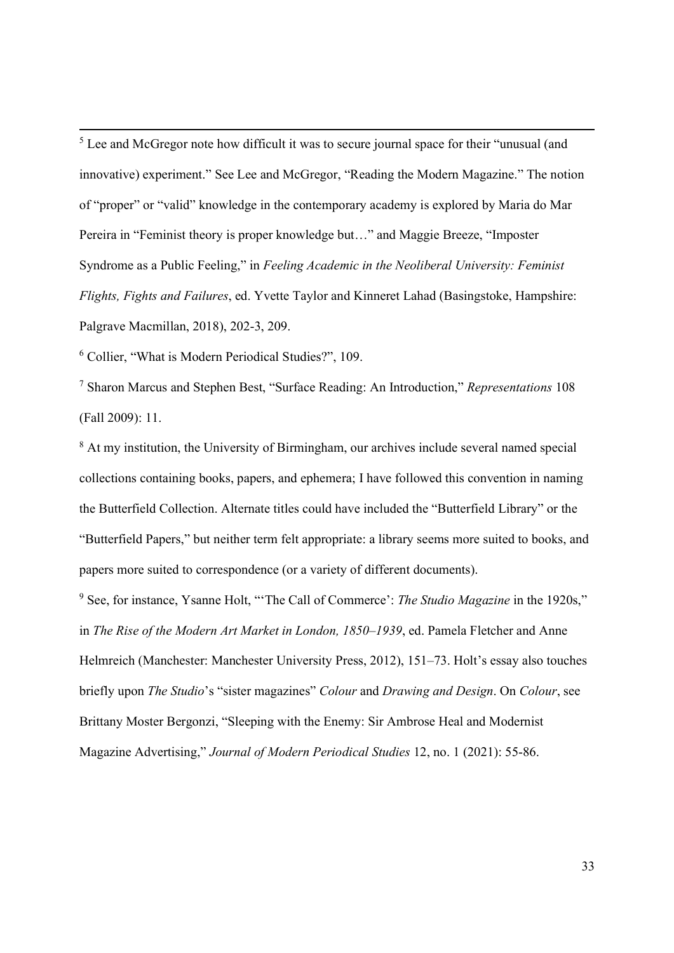<sup>5</sup> Lee and McGregor note how difficult it was to secure journal space for their "unusual (and innovative) experiment." See Lee and McGregor, "Reading the Modern Magazine." The notion of "proper" or "valid" knowledge in the contemporary academy is explored by Maria do Mar Pereira in "Feminist theory is proper knowledge but…" and Maggie Breeze, "Imposter Syndrome as a Public Feeling," in Feeling Academic in the Neoliberal University: Feminist Flights, Fights and Failures, ed. Yvette Taylor and Kinneret Lahad (Basingstoke, Hampshire: Palgrave Macmillan, 2018), 202-3, 209.

6 Collier, "What is Modern Periodical Studies?", 109.

<sup>7</sup> Sharon Marcus and Stephen Best, "Surface Reading: An Introduction," Representations 108 (Fall 2009): 11.

<sup>8</sup> At my institution, the University of Birmingham, our archives include several named special collections containing books, papers, and ephemera; I have followed this convention in naming the Butterfield Collection. Alternate titles could have included the "Butterfield Library" or the "Butterfield Papers," but neither term felt appropriate: a library seems more suited to books, and papers more suited to correspondence (or a variety of different documents).

<sup>9</sup> See, for instance, Ysanne Holt, "The Call of Commerce': *The Studio Magazine* in the 1920s," in The Rise of the Modern Art Market in London, 1850–1939, ed. Pamela Fletcher and Anne Helmreich (Manchester: Manchester University Press, 2012), 151–73. Holt's essay also touches briefly upon *The Studio's* "sister magazines" *Colour* and *Drawing and Design*. On *Colour*, see Brittany Moster Bergonzi, "Sleeping with the Enemy: Sir Ambrose Heal and Modernist Magazine Advertising," Journal of Modern Periodical Studies 12, no. 1 (2021): 55-86.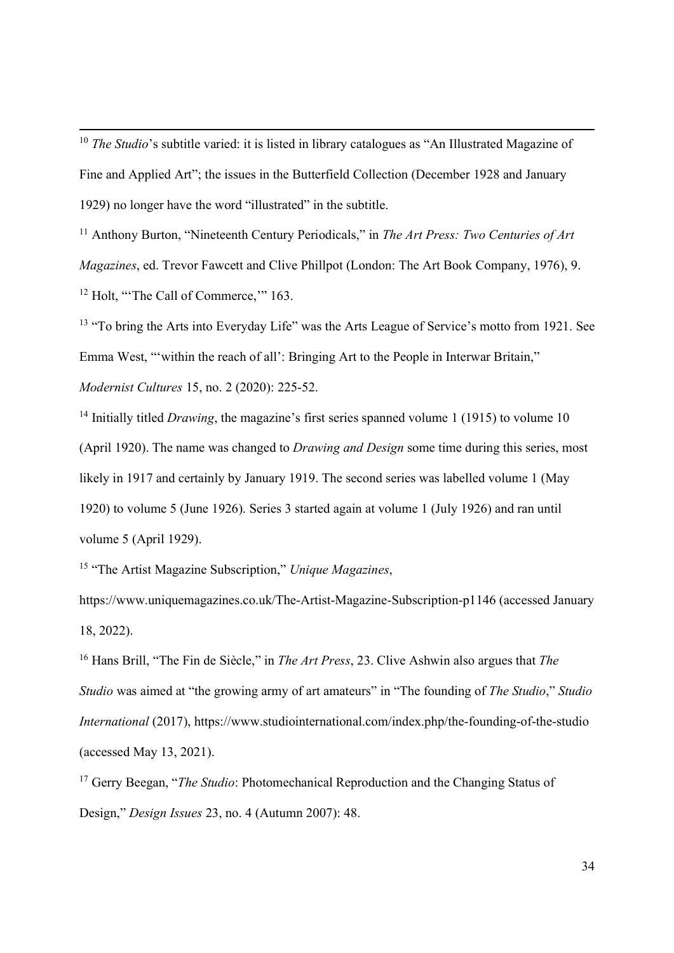$10$  The Studio's subtitle varied: it is listed in library catalogues as "An Illustrated Magazine of Fine and Applied Art"; the issues in the Butterfield Collection (December 1928 and January 1929) no longer have the word "illustrated" in the subtitle.

<sup>11</sup> Anthony Burton, "Nineteenth Century Periodicals," in The Art Press: Two Centuries of Art Magazines, ed. Trevor Fawcett and Clive Phillpot (London: The Art Book Company, 1976), 9. <sup>12</sup> Holt, "The Call of Commerce," 163.

<sup>13</sup> "To bring the Arts into Everyday Life" was the Arts League of Service's motto from 1921. See Emma West, "'within the reach of all': Bringing Art to the People in Interwar Britain," Modernist Cultures 15, no. 2 (2020): 225-52.

<sup>14</sup> Initially titled *Drawing*, the magazine's first series spanned volume 1 (1915) to volume 10 (April 1920). The name was changed to Drawing and Design some time during this series, most likely in 1917 and certainly by January 1919. The second series was labelled volume 1 (May 1920) to volume 5 (June 1926). Series 3 started again at volume 1 (July 1926) and ran until volume 5 (April 1929).

<sup>15</sup> "The Artist Magazine Subscription," Unique Magazines,

https://www.uniquemagazines.co.uk/The-Artist-Magazine-Subscription-p1146 (accessed January 18, 2022).

<sup>16</sup> Hans Brill, "The Fin de Siècle," in *The Art Press*, 23. Clive Ashwin also argues that *The* Studio was aimed at "the growing army of art amateurs" in "The founding of The Studio," Studio International (2017), https://www.studiointernational.com/index.php/the-founding-of-the-studio (accessed May 13, 2021).

<sup>17</sup> Gerry Beegan, "The Studio: Photomechanical Reproduction and the Changing Status of Design," Design Issues 23, no. 4 (Autumn 2007): 48.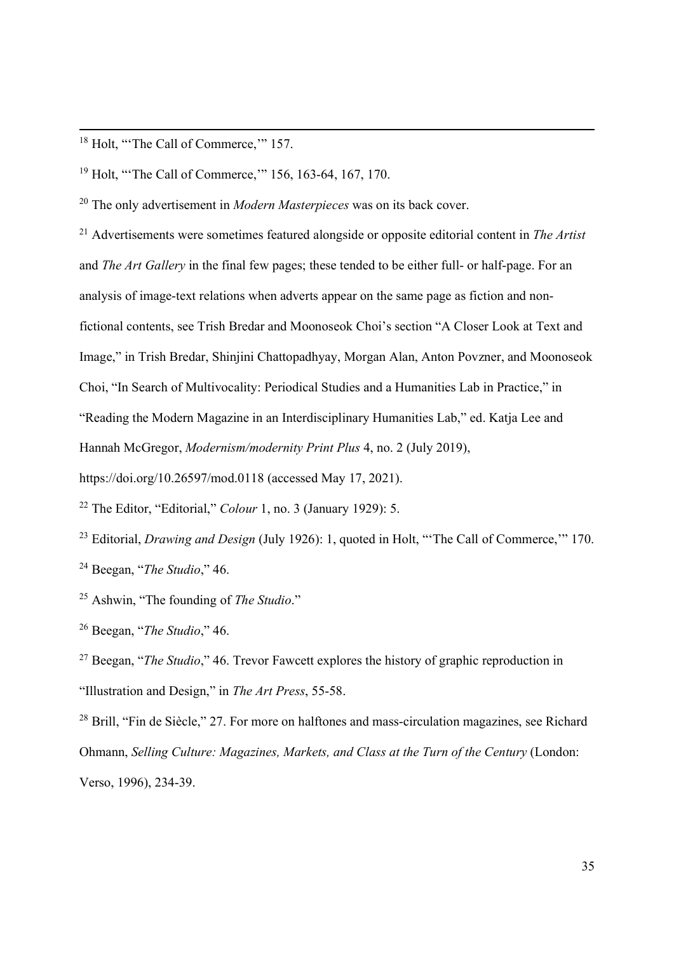<sup>18</sup> Holt, "The Call of Commerce," 157.

<sup>19</sup> Holt, "'The Call of Commerce,'" 156, 163-64, 167, 170.

 $20$  The only advertisement in *Modern Masterpieces* was on its back cover.

 $21$  Advertisements were sometimes featured alongside or opposite editorial content in The Artist and The Art Gallery in the final few pages; these tended to be either full- or half-page. For an analysis of image-text relations when adverts appear on the same page as fiction and nonfictional contents, see Trish Bredar and Moonoseok Choi's section "A Closer Look at Text and Image," in Trish Bredar, Shinjini Chattopadhyay, Morgan Alan, Anton Povzner, and Moonoseok Choi, "In Search of Multivocality: Periodical Studies and a Humanities Lab in Practice," in "Reading the Modern Magazine in an Interdisciplinary Humanities Lab," ed. Katja Lee and Hannah McGregor, Modernism/modernity Print Plus 4, no. 2 (July 2019),

https://doi.org/10.26597/mod.0118 (accessed May 17, 2021).

<sup>22</sup> The Editor, "Editorial," *Colour* 1, no. 3 (January 1929): 5.

<sup>23</sup> Editorial, *Drawing and Design* (July 1926): 1, quoted in Holt, "The Call of Commerce," 170. <sup>24</sup> Beegan, "The Studio," 46.

<sup>25</sup> Ashwin, "The founding of *The Studio*."

<sup>26</sup> Beegan, "The Studio," 46.

<sup>27</sup> Beegan, "*The Studio*," 46. Trevor Fawcett explores the history of graphic reproduction in "Illustration and Design," in The Art Press, 55-58.

<sup>28</sup> Brill, "Fin de Siècle," 27. For more on halftones and mass-circulation magazines, see Richard Ohmann, Selling Culture: Magazines, Markets, and Class at the Turn of the Century (London: Verso, 1996), 234-39.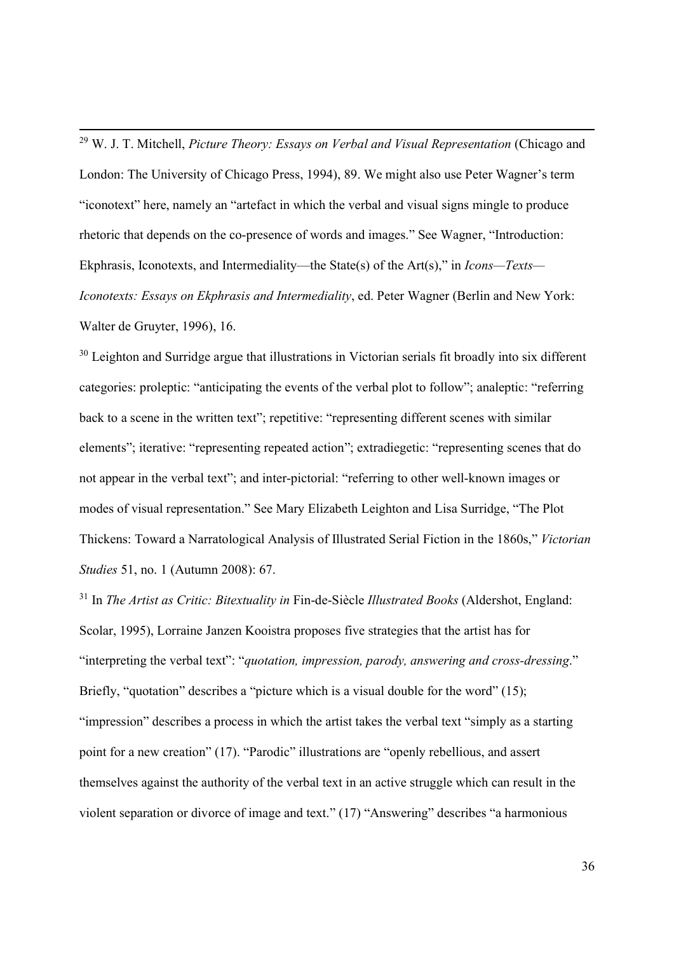$29$  W. J. T. Mitchell, *Picture Theory: Essays on Verbal and Visual Representation* (Chicago and London: The University of Chicago Press, 1994), 89. We might also use Peter Wagner's term "iconotext" here, namely an "artefact in which the verbal and visual signs mingle to produce rhetoric that depends on the co-presence of words and images." See Wagner, "Introduction: Ekphrasis, Iconotexts, and Intermediality—the State(s) of the Art(s)," in  $Icons–Texts-$ Iconotexts: Essays on Ekphrasis and Intermediality, ed. Peter Wagner (Berlin and New York: Walter de Gruyter, 1996), 16.

<sup>30</sup> Leighton and Surridge argue that illustrations in Victorian serials fit broadly into six different categories: proleptic: "anticipating the events of the verbal plot to follow"; analeptic: "referring back to a scene in the written text"; repetitive: "representing different scenes with similar elements"; iterative: "representing repeated action"; extradiegetic: "representing scenes that do not appear in the verbal text"; and inter-pictorial: "referring to other well-known images or modes of visual representation." See Mary Elizabeth Leighton and Lisa Surridge, "The Plot Thickens: Toward a Narratological Analysis of Illustrated Serial Fiction in the 1860s," Victorian Studies 51, no. 1 (Autumn 2008): 67.

 $31$  In The Artist as Critic: Bitextuality in Fin-de-Siècle Illustrated Books (Aldershot, England: Scolar, 1995), Lorraine Janzen Kooistra proposes five strategies that the artist has for "interpreting the verbal text": "quotation, impression, parody, answering and cross-dressing." Briefly, "quotation" describes a "picture which is a visual double for the word" (15); "impression" describes a process in which the artist takes the verbal text "simply as a starting point for a new creation" (17). "Parodic" illustrations are "openly rebellious, and assert themselves against the authority of the verbal text in an active struggle which can result in the violent separation or divorce of image and text." (17) "Answering" describes "a harmonious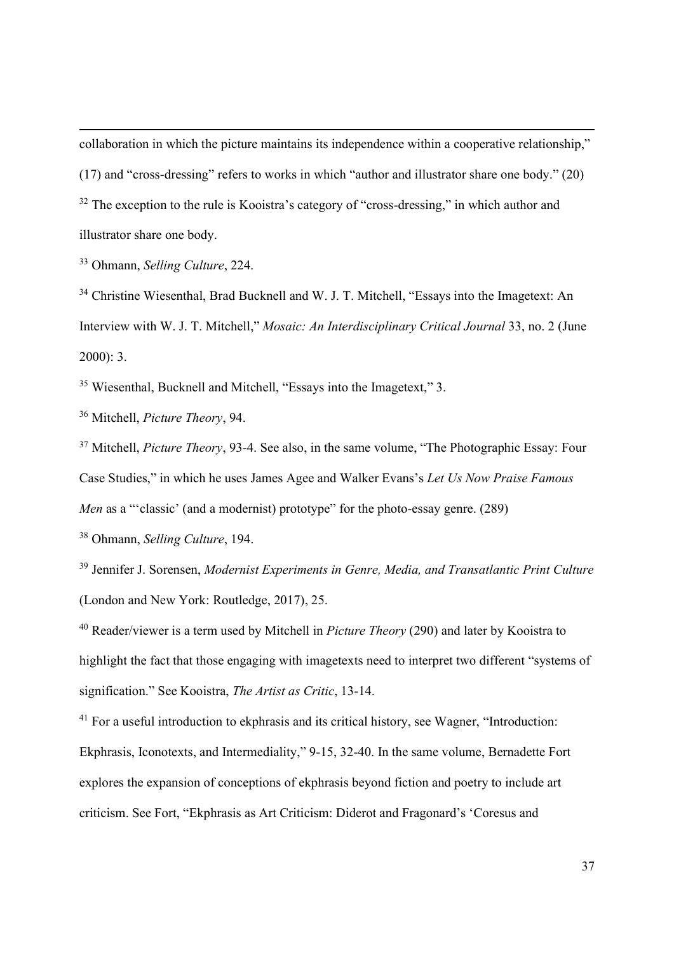collaboration in which the picture maintains its independence within a cooperative relationship," (17) and "cross-dressing" refers to works in which "author and illustrator share one body." (20)  $32$  The exception to the rule is Kooistra's category of "cross-dressing," in which author and illustrator share one body.

<sup>33</sup> Ohmann, Selling Culture, 224.

<sup>34</sup> Christine Wiesenthal, Brad Bucknell and W. J. T. Mitchell, "Essays into the Imagetext: An Interview with W. J. T. Mitchell," Mosaic: An Interdisciplinary Critical Journal 33, no. 2 (June 2000): 3.

<sup>35</sup> Wiesenthal, Bucknell and Mitchell, "Essays into the Imagetext," 3.

<sup>36</sup> Mitchell, Picture Theory, 94.

 $37$  Mitchell, *Picture Theory*, 93-4. See also, in the same volume, "The Photographic Essay: Four Case Studies," in which he uses James Agee and Walker Evans's Let Us Now Praise Famous Men as a "'classic' (and a modernist) prototype" for the photo-essay genre. (289)

<sup>38</sup> Ohmann, Selling Culture, 194.

<sup>39</sup> Jennifer J. Sorensen, *Modernist Experiments in Genre, Media, and Transatlantic Print Culture* (London and New York: Routledge, 2017), 25.

 $40$  Reader/viewer is a term used by Mitchell in *Picture Theory* (290) and later by Kooistra to highlight the fact that those engaging with imagetexts need to interpret two different "systems of signification." See Kooistra, The Artist as Critic, 13-14.

<sup>41</sup> For a useful introduction to ekphrasis and its critical history, see Wagner, "Introduction: Ekphrasis, Iconotexts, and Intermediality," 9-15, 32-40. In the same volume, Bernadette Fort explores the expansion of conceptions of ekphrasis beyond fiction and poetry to include art criticism. See Fort, "Ekphrasis as Art Criticism: Diderot and Fragonard's 'Coresus and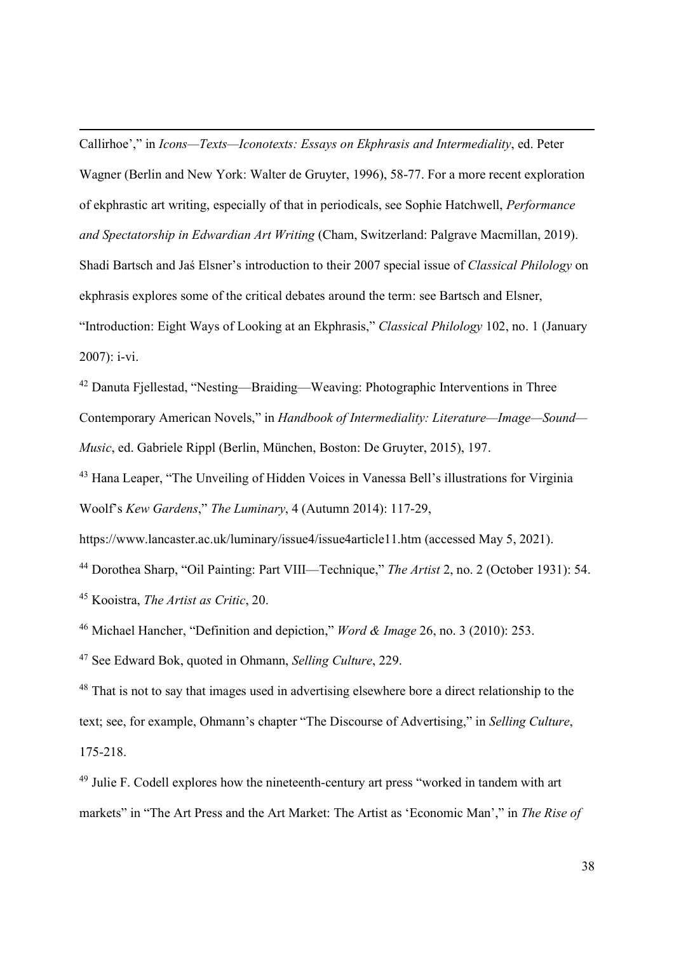Callirhoe'," in Icons—Texts—Iconotexts: Essays on Ekphrasis and Intermediality, ed. Peter Wagner (Berlin and New York: Walter de Gruyter, 1996), 58-77. For a more recent exploration of ekphrastic art writing, especially of that in periodicals, see Sophie Hatchwell, Performance and Spectatorship in Edwardian Art Writing (Cham, Switzerland: Palgrave Macmillan, 2019). Shadi Bartsch and Jaś Elsner's introduction to their 2007 special issue of Classical Philology on ekphrasis explores some of the critical debates around the term: see Bartsch and Elsner, "Introduction: Eight Ways of Looking at an Ekphrasis," Classical Philology 102, no. 1 (January 2007): i-vi.

<sup>42</sup> Danuta Fjellestad, "Nesting—Braiding—Weaving: Photographic Interventions in Three Contemporary American Novels," in Handbook of Intermediality: Literature—Image—Sound— Music, ed. Gabriele Rippl (Berlin, München, Boston: De Gruyter, 2015), 197.

<sup>43</sup> Hana Leaper, "The Unveiling of Hidden Voices in Vanessa Bell's illustrations for Virginia Woolf's Kew Gardens," The Luminary, 4 (Autumn 2014): 117-29,

https://www.lancaster.ac.uk/luminary/issue4/issue4article11.htm (accessed May 5, 2021).

<sup>44</sup> Dorothea Sharp, "Oil Painting: Part VIII—Technique," *The Artist* 2, no. 2 (October 1931): 54. <sup>45</sup> Kooistra, The Artist as Critic, 20.

<sup>46</sup> Michael Hancher, "Definition and depiction," *Word & Image* 26, no. 3 (2010): 253.

<sup>47</sup> See Edward Bok, quoted in Ohmann, Selling Culture, 229.

<sup>48</sup> That is not to say that images used in advertising elsewhere bore a direct relationship to the text; see, for example, Ohmann's chapter "The Discourse of Advertising," in Selling Culture, 175-218.

<sup>49</sup> Julie F. Codell explores how the nineteenth-century art press "worked in tandem with art markets" in "The Art Press and the Art Market: The Artist as 'Economic Man'," in The Rise of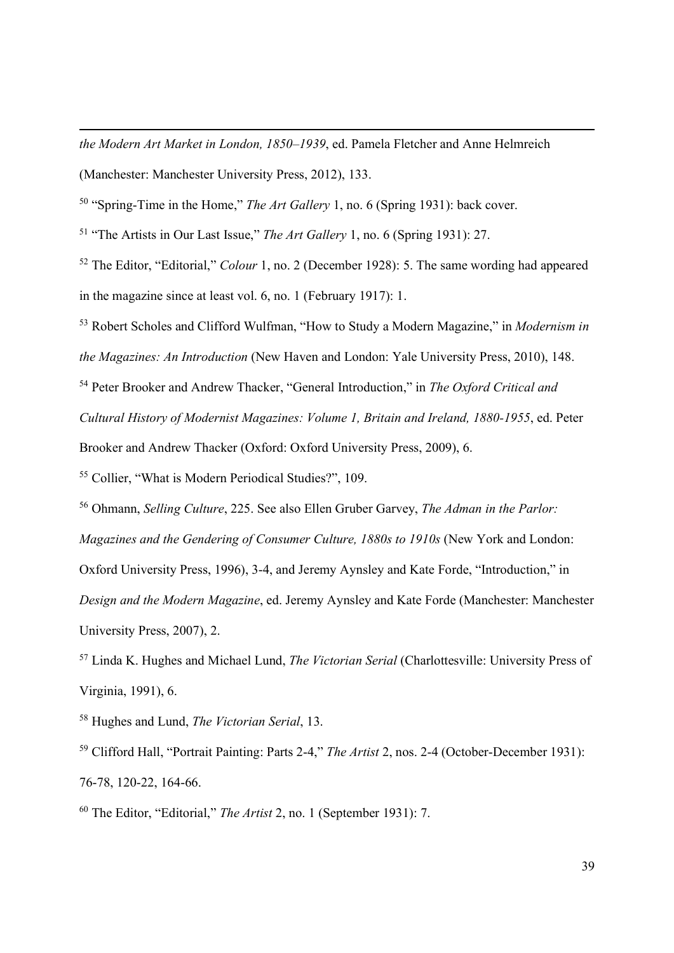the Modern Art Market in London, 1850–1939, ed. Pamela Fletcher and Anne Helmreich (Manchester: Manchester University Press, 2012), 133.

<sup>50</sup> "Spring-Time in the Home," *The Art Gallery* 1, no. 6 (Spring 1931): back cover.

<sup>51</sup> "The Artists in Our Last Issue," *The Art Gallery* 1, no. 6 (Spring 1931): 27.

<sup>52</sup> The Editor, "Editorial," *Colour* 1, no. 2 (December 1928): 5. The same wording had appeared in the magazine since at least vol. 6, no. 1 (February 1917): 1.

<sup>53</sup> Robert Scholes and Clifford Wulfman, "How to Study a Modern Magazine," in *Modernism in* the Magazines: An Introduction (New Haven and London: Yale University Press, 2010), 148.

<sup>54</sup> Peter Brooker and Andrew Thacker, "General Introduction," in The Oxford Critical and Cultural History of Modernist Magazines: Volume 1, Britain and Ireland, 1880-1955, ed. Peter Brooker and Andrew Thacker (Oxford: Oxford University Press, 2009), 6.

<sup>55</sup> Collier, "What is Modern Periodical Studies?", 109.

<sup>56</sup> Ohmann, Selling Culture, 225. See also Ellen Gruber Garvey, The Adman in the Parlor: Magazines and the Gendering of Consumer Culture, 1880s to 1910s (New York and London: Oxford University Press, 1996), 3-4, and Jeremy Aynsley and Kate Forde, "Introduction," in Design and the Modern Magazine, ed. Jeremy Aynsley and Kate Forde (Manchester: Manchester University Press, 2007), 2.

 $57$  Linda K. Hughes and Michael Lund, *The Victorian Serial* (Charlottesville: University Press of Virginia, 1991), 6.

<sup>58</sup> Hughes and Lund, The Victorian Serial, 13.

 $59$  Clifford Hall, "Portrait Painting: Parts 2-4," The Artist 2, nos. 2-4 (October-December 1931): 76-78, 120-22, 164-66.

 $60$  The Editor, "Editorial," *The Artist* 2, no. 1 (September 1931): 7.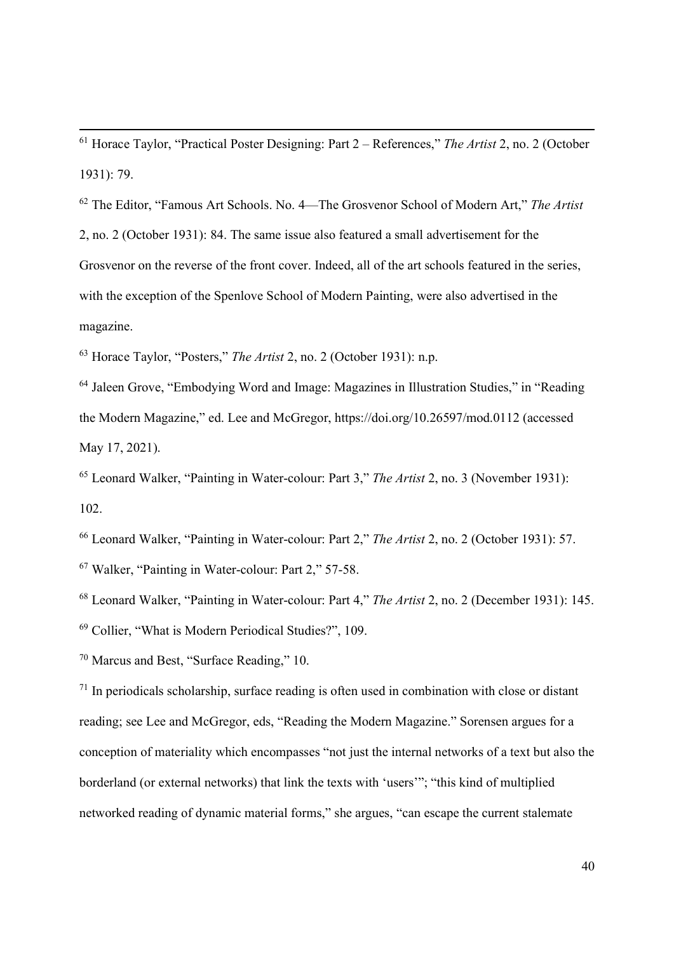$61$  Horace Taylor, "Practical Poster Designing: Part 2 – References," The Artist 2, no. 2 (October 1931): 79.

<sup>62</sup> The Editor, "Famous Art Schools. No. 4—The Grosvenor School of Modern Art," The Artist 2, no. 2 (October 1931): 84. The same issue also featured a small advertisement for the Grosvenor on the reverse of the front cover. Indeed, all of the art schools featured in the series, with the exception of the Spenlove School of Modern Painting, were also advertised in the magazine.

 $63$  Horace Taylor, "Posters," The Artist 2, no. 2 (October 1931): n.p.

<sup>64</sup> Jaleen Grove, "Embodying Word and Image: Magazines in Illustration Studies," in "Reading the Modern Magazine," ed. Lee and McGregor, https://doi.org/10.26597/mod.0112 (accessed May 17, 2021).

 $65$  Leonard Walker, "Painting in Water-colour: Part 3," The Artist 2, no. 3 (November 1931): 102.

<sup>66</sup> Leonard Walker, "Painting in Water-colour: Part 2," The Artist 2, no. 2 (October 1931): 57.

<sup>67</sup> Walker, "Painting in Water-colour: Part 2," 57-58.

<sup>68</sup> Leonard Walker, "Painting in Water-colour: Part 4," The Artist 2, no. 2 (December 1931): 145.

<sup>69</sup> Collier, "What is Modern Periodical Studies?", 109.

<sup>70</sup> Marcus and Best, "Surface Reading," 10.

 $71$  In periodicals scholarship, surface reading is often used in combination with close or distant reading; see Lee and McGregor, eds, "Reading the Modern Magazine." Sorensen argues for a conception of materiality which encompasses "not just the internal networks of a text but also the borderland (or external networks) that link the texts with 'users'"; "this kind of multiplied networked reading of dynamic material forms," she argues, "can escape the current stalemate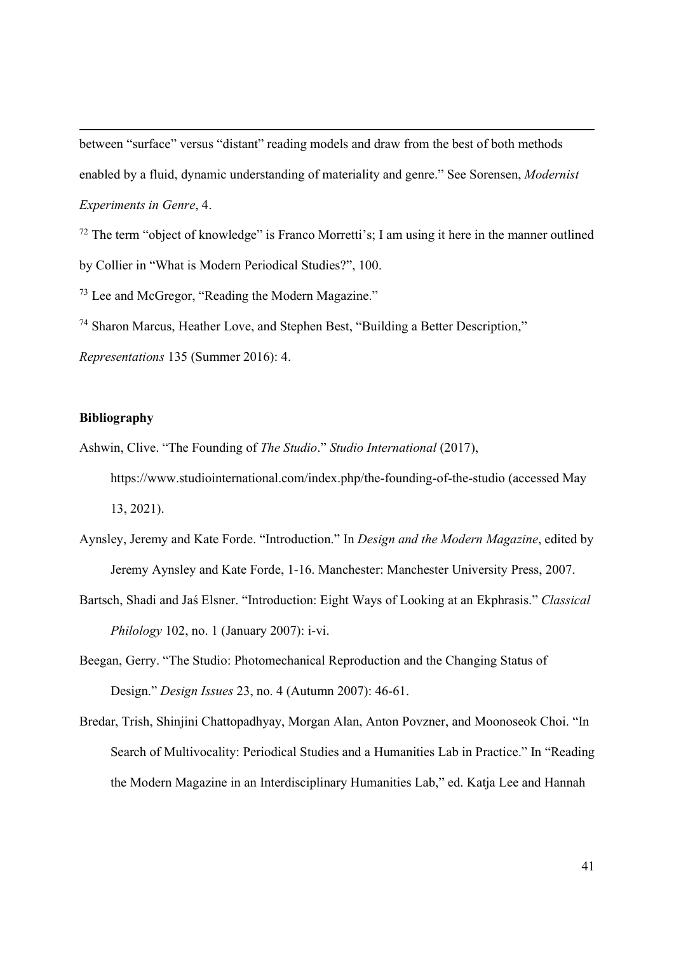between "surface" versus "distant" reading models and draw from the best of both methods enabled by a fluid, dynamic understanding of materiality and genre." See Sorensen, Modernist Experiments in Genre, 4.

 $72$  The term "object of knowledge" is Franco Morretti's; I am using it here in the manner outlined by Collier in "What is Modern Periodical Studies?", 100.

<sup>73</sup> Lee and McGregor, "Reading the Modern Magazine."

<sup>74</sup> Sharon Marcus, Heather Love, and Stephen Best, "Building a Better Description,"

Representations 135 (Summer 2016): 4.

# Bibliography

Ashwin, Clive. "The Founding of The Studio." Studio International (2017), https://www.studiointernational.com/index.php/the-founding-of-the-studio (accessed May 13, 2021).

- Aynsley, Jeremy and Kate Forde. "Introduction." In Design and the Modern Magazine, edited by Jeremy Aynsley and Kate Forde, 1-16. Manchester: Manchester University Press, 2007.
- Bartsch, Shadi and Jaś Elsner. "Introduction: Eight Ways of Looking at an Ekphrasis." Classical Philology 102, no. 1 (January 2007): i-vi.

Beegan, Gerry. "The Studio: Photomechanical Reproduction and the Changing Status of Design." Design Issues 23, no. 4 (Autumn 2007): 46-61.

Bredar, Trish, Shinjini Chattopadhyay, Morgan Alan, Anton Povzner, and Moonoseok Choi. "In Search of Multivocality: Periodical Studies and a Humanities Lab in Practice." In "Reading the Modern Magazine in an Interdisciplinary Humanities Lab," ed. Katja Lee and Hannah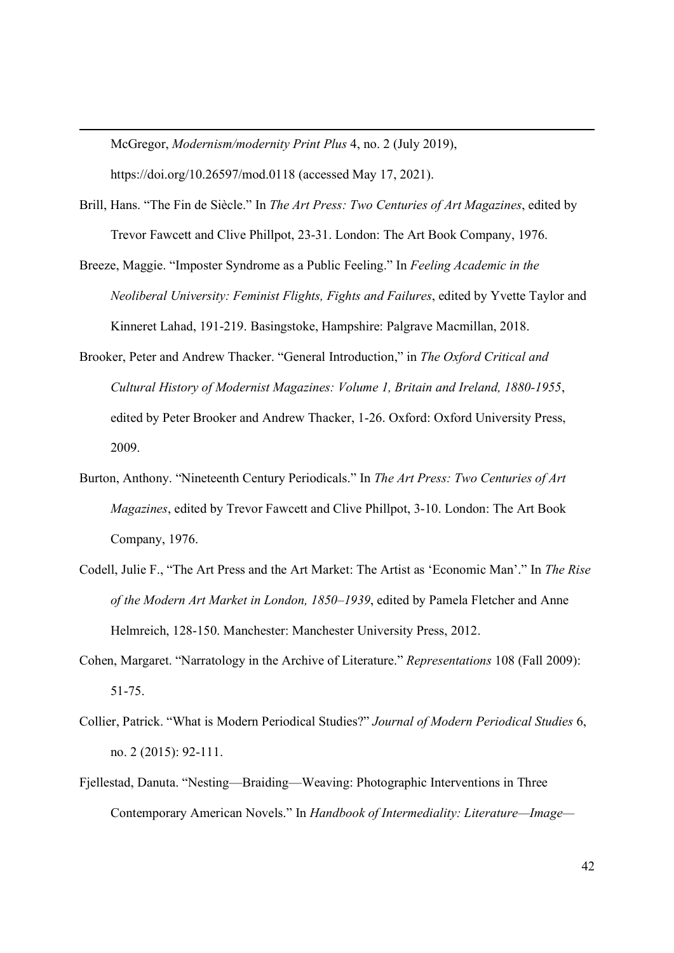McGregor, Modernism/modernity Print Plus 4, no. 2 (July 2019), https://doi.org/10.26597/mod.0118 (accessed May 17, 2021).

- Brill, Hans. "The Fin de Siècle." In The Art Press: Two Centuries of Art Magazines, edited by Trevor Fawcett and Clive Phillpot, 23-31. London: The Art Book Company, 1976.
- Breeze, Maggie. "Imposter Syndrome as a Public Feeling." In Feeling Academic in the Neoliberal University: Feminist Flights, Fights and Failures, edited by Yvette Taylor and Kinneret Lahad, 191-219. Basingstoke, Hampshire: Palgrave Macmillan, 2018.
- Brooker, Peter and Andrew Thacker. "General Introduction," in The Oxford Critical and Cultural History of Modernist Magazines: Volume 1, Britain and Ireland, 1880-1955, edited by Peter Brooker and Andrew Thacker, 1-26. Oxford: Oxford University Press, 2009.
- Burton, Anthony. "Nineteenth Century Periodicals." In The Art Press: Two Centuries of Art Magazines, edited by Trevor Fawcett and Clive Phillpot, 3-10. London: The Art Book Company, 1976.
- Codell, Julie F., "The Art Press and the Art Market: The Artist as 'Economic Man'." In The Rise of the Modern Art Market in London, 1850–1939, edited by Pamela Fletcher and Anne Helmreich, 128-150. Manchester: Manchester University Press, 2012.
- Cohen, Margaret. "Narratology in the Archive of Literature." Representations 108 (Fall 2009): 51-75.
- Collier, Patrick. "What is Modern Periodical Studies?" Journal of Modern Periodical Studies 6, no. 2 (2015): 92-111.
- Fjellestad, Danuta. "Nesting—Braiding—Weaving: Photographic Interventions in Three Contemporary American Novels." In Handbook of Intermediality: Literature—Image—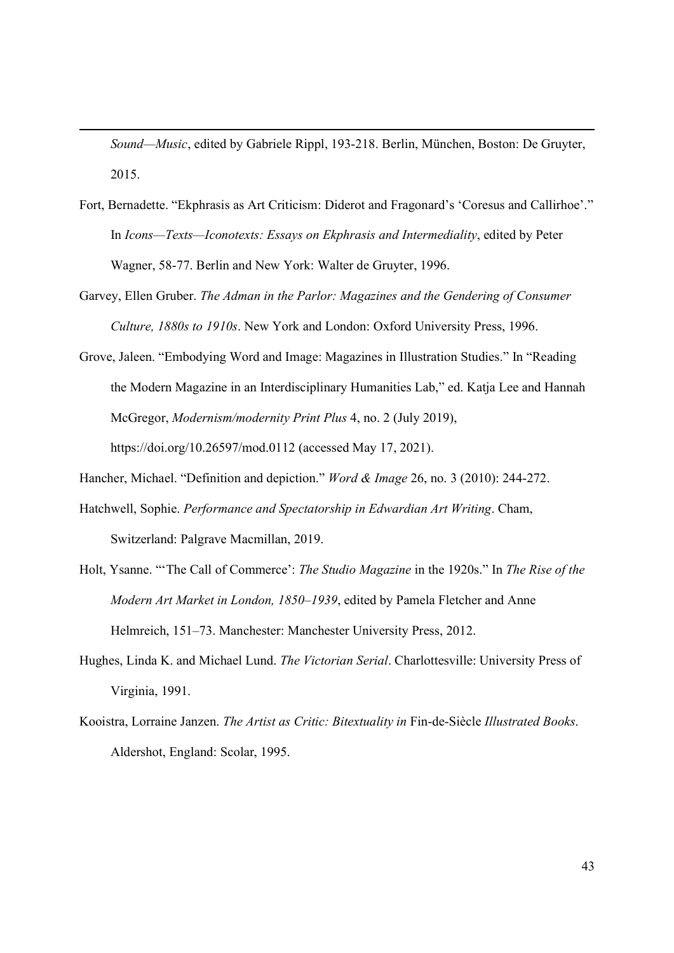Sound—Music, edited by Gabriele Rippl, 193-218. Berlin, München, Boston: De Gruyter, 2015.

- Fort, Bernadette. "Ekphrasis as Art Criticism: Diderot and Fragonard's 'Coresus and Callirhoe'." In Icons—Texts—Iconotexts: Essays on Ekphrasis and Intermediality, edited by Peter Wagner, 58-77. Berlin and New York: Walter de Gruyter, 1996.
- Garvey, Ellen Gruber. The Adman in the Parlor: Magazines and the Gendering of Consumer Culture, 1880s to 1910s. New York and London: Oxford University Press, 1996.
- Grove, Jaleen. "Embodying Word and Image: Magazines in Illustration Studies." In "Reading the Modern Magazine in an Interdisciplinary Humanities Lab," ed. Katja Lee and Hannah McGregor, Modernism/modernity Print Plus 4, no. 2 (July 2019), https://doi.org/10.26597/mod.0112 (accessed May 17, 2021).
- Hancher, Michael. "Definition and depiction." *Word & Image* 26, no. 3 (2010): 244-272.
- Hatchwell, Sophie. Performance and Spectatorship in Edwardian Art Writing. Cham, Switzerland: Palgrave Macmillan, 2019.
- Holt, Ysanne. "'The Call of Commerce': The Studio Magazine in the 1920s." In The Rise of the Modern Art Market in London, 1850–1939, edited by Pamela Fletcher and Anne Helmreich, 151–73. Manchester: Manchester University Press, 2012.
- Hughes, Linda K. and Michael Lund. The Victorian Serial. Charlottesville: University Press of Virginia, 1991.
- Kooistra, Lorraine Janzen. The Artist as Critic: Bitextuality in Fin-de-Siècle Illustrated Books. Aldershot, England: Scolar, 1995.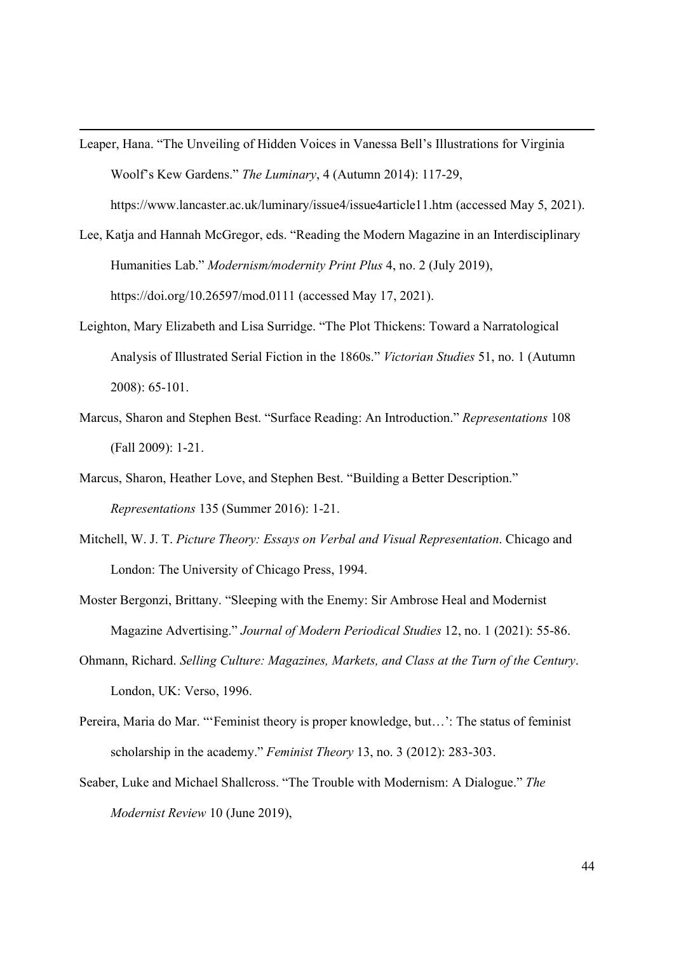- Leaper, Hana. "The Unveiling of Hidden Voices in Vanessa Bell's Illustrations for Virginia Woolf's Kew Gardens." The Luminary, 4 (Autumn 2014): 117-29, https://www.lancaster.ac.uk/luminary/issue4/issue4article11.htm (accessed May 5, 2021).
- Lee, Katja and Hannah McGregor, eds. "Reading the Modern Magazine in an Interdisciplinary Humanities Lab." Modernism/modernity Print Plus 4, no. 2 (July 2019), https://doi.org/10.26597/mod.0111 (accessed May 17, 2021).
- Leighton, Mary Elizabeth and Lisa Surridge. "The Plot Thickens: Toward a Narratological Analysis of Illustrated Serial Fiction in the 1860s." Victorian Studies 51, no. 1 (Autumn 2008): 65-101.
- Marcus, Sharon and Stephen Best. "Surface Reading: An Introduction." Representations 108 (Fall 2009): 1-21.
- Marcus, Sharon, Heather Love, and Stephen Best. "Building a Better Description." Representations 135 (Summer 2016): 1-21.
- Mitchell, W. J. T. Picture Theory: Essays on Verbal and Visual Representation. Chicago and London: The University of Chicago Press, 1994.
- Moster Bergonzi, Brittany. "Sleeping with the Enemy: Sir Ambrose Heal and Modernist Magazine Advertising." Journal of Modern Periodical Studies 12, no. 1 (2021): 55-86.
- Ohmann, Richard. Selling Culture: Magazines, Markets, and Class at the Turn of the Century. London, UK: Verso, 1996.
- Pereira, Maria do Mar. "'Feminist theory is proper knowledge, but…': The status of feminist scholarship in the academy." Feminist Theory 13, no. 3 (2012): 283-303.
- Seaber, Luke and Michael Shallcross. "The Trouble with Modernism: A Dialogue." The Modernist Review 10 (June 2019),